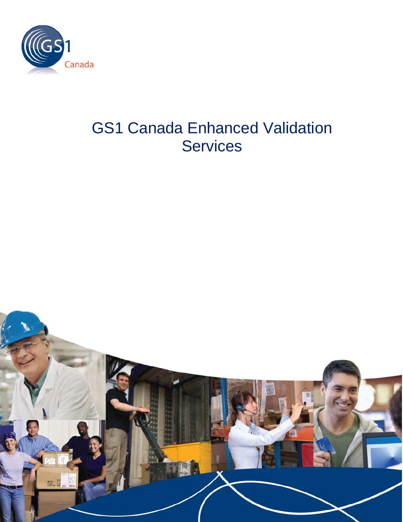

# GS1 Canada Enhanced Validation **Services**

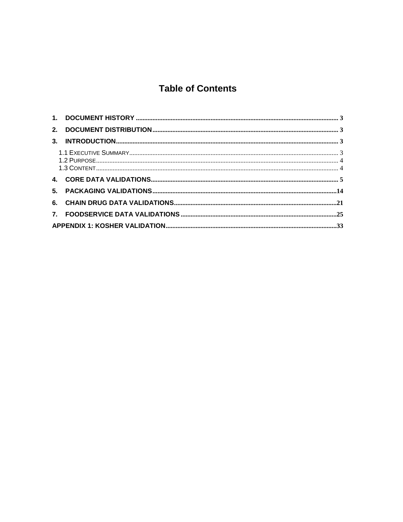# **Table of Contents**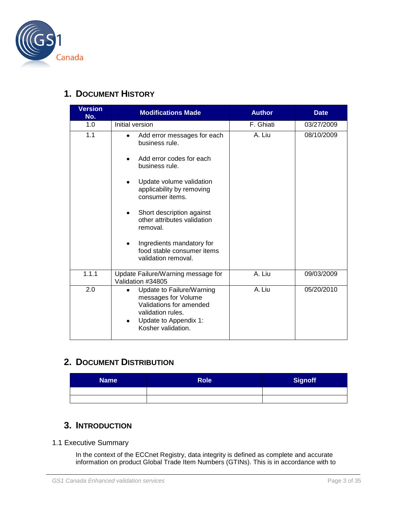

#### <span id="page-2-0"></span>**1. DOCUMENT HISTORY**

| <b>Version</b><br>No. | <b>Modifications Made</b>                                                                                                                                                                                                                                                                                                                                   | <b>Author</b> | <b>Date</b> |
|-----------------------|-------------------------------------------------------------------------------------------------------------------------------------------------------------------------------------------------------------------------------------------------------------------------------------------------------------------------------------------------------------|---------------|-------------|
| 1.0                   | Initial version                                                                                                                                                                                                                                                                                                                                             | F. Ghiati     | 03/27/2009  |
| 1.1                   | Add error messages for each<br>$\bullet$<br>business rule.<br>Add error codes for each<br>business rule.<br>Update volume validation<br>applicability by removing<br>consumer items.<br>Short description against<br>$\bullet$<br>other attributes validation<br>removal.<br>Ingredients mandatory for<br>food stable consumer items<br>validation removal. | A. Liu        | 08/10/2009  |
| 1.1.1                 | Update Failure/Warning message for<br>Validation #34805                                                                                                                                                                                                                                                                                                     | A. Liu        | 09/03/2009  |
| 2.0                   | Update to Failure/Warning<br>$\bullet$<br>messages for Volume<br>Validations for amended<br>validation rules.<br>Update to Appendix 1:<br>Kosher validation.                                                                                                                                                                                                | A. Liu        | 05/20/2010  |

# <span id="page-2-1"></span>**2. DOCUMENT DISTRIBUTION**

| <b>Name</b> | Role <sup>1</sup> | <b>Signoff</b> |
|-------------|-------------------|----------------|
|             |                   |                |
|             |                   |                |

## <span id="page-2-2"></span>**3. INTRODUCTION**

#### <span id="page-2-3"></span>1.1 Executive Summary

In the context of the ECCnet Registry, data integrity is defined as complete and accurate information on product Global Trade Item Numbers (GTINs). This is in accordance with to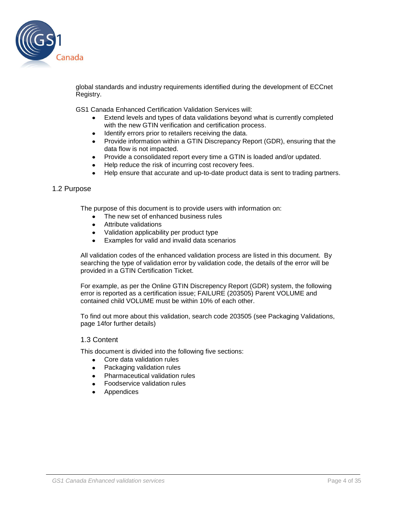

global standards and industry requirements identified during the development of ECCnet Registry.

GS1 Canada Enhanced Certification Validation Services will:

- Extend levels and types of data validations beyond what is currently completed with the new GTIN verification and certification process.
- Identify errors prior to retailers receiving the data.
- Provide information within a GTIN Discrepancy Report (GDR), ensuring that the data flow is not impacted.
- Provide a consolidated report every time a GTIN is loaded and/or updated.
- Help reduce the risk of incurring cost recovery fees.
- Help ensure that accurate and up-to-date product data is sent to trading partners.

#### <span id="page-3-0"></span>1.2 Purpose

The purpose of this document is to provide users with information on:

- The new set of enhanced business rules
- Attribute validations
- Validation applicability per product type
- Examples for valid and invalid data scenarios

All validation codes of the enhanced validation process are listed in this document. By searching the type of validation error by validation code, the details of the error will be provided in a GTIN Certification Ticket.

For example, as per the Online GTIN Discrepency Report (GDR) system, the following error is reported as a certification issue; FAILURE (203505) Parent VOLUME and contained child VOLUME must be within 10% of each other.

To find out more about this validation, search code 203505 (see Packaging Validations, page 14for further details)

#### <span id="page-3-1"></span>1.3 Content

This document is divided into the following five sections:

- Core data validation rules
- Packaging validation rules
- Pharmaceutical validation rules
- Foodservice validation rules
- Appendices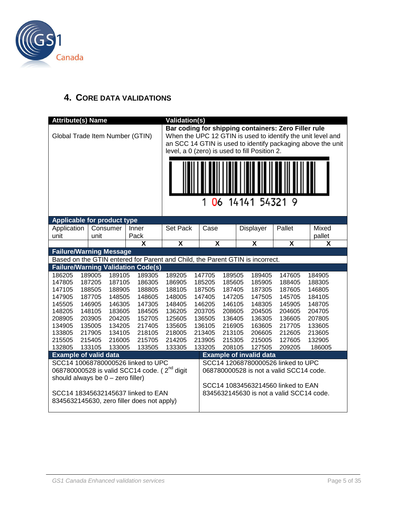

### <span id="page-4-0"></span>**4. CORE DATA VALIDATIONS**

|                                     | <b>Attribute(s) Name</b>                                                      |                  |                  |                                                                                  | <b>Validation(s)</b>    |         |                  |                  |               |                                               |                                                                                |                                                                                                                            |
|-------------------------------------|-------------------------------------------------------------------------------|------------------|------------------|----------------------------------------------------------------------------------|-------------------------|---------|------------------|------------------|---------------|-----------------------------------------------|--------------------------------------------------------------------------------|----------------------------------------------------------------------------------------------------------------------------|
|                                     |                                                                               |                  |                  | Global Trade Item Number (GTIN)                                                  |                         |         |                  |                  |               | level, a 0 (zero) is used to fill Position 2. | Bar coding for shipping containers: Zero Filler rule                           | When the UPC 12 GTIN is used to identify the unit level and<br>an SCC 14 GTIN is used to identify packaging above the unit |
|                                     |                                                                               |                  |                  |                                                                                  |                         | 06<br>1 |                  |                  | 14141 54321 9 |                                               |                                                                                |                                                                                                                            |
|                                     |                                                                               |                  |                  |                                                                                  |                         |         |                  |                  |               |                                               |                                                                                |                                                                                                                            |
| <b>Applicable for product type</b>  |                                                                               |                  |                  |                                                                                  |                         |         |                  |                  |               |                                               |                                                                                |                                                                                                                            |
| unit                                | Application<br>Consumer<br>Inner<br>unit                                      |                  | Pack             | Set Pack                                                                         |                         | Case    |                  |                  | Displayer     | Pallet                                        | Mixed<br>pallet                                                                |                                                                                                                            |
|                                     |                                                                               |                  |                  | X                                                                                | $\overline{\mathsf{x}}$ |         | X                |                  |               | $\overline{\mathsf{x}}$                       | $\overline{\mathbf{x}}$                                                        | X                                                                                                                          |
|                                     | <b>Failure/Warning Message</b>                                                |                  |                  |                                                                                  |                         |         |                  |                  |               |                                               |                                                                                |                                                                                                                            |
|                                     | Based on the GTIN entered for Parent and Child, the Parent GTIN is incorrect. |                  |                  |                                                                                  |                         |         |                  |                  |               |                                               |                                                                                |                                                                                                                            |
|                                     |                                                                               |                  |                  | <b>Failure/Warning Validation Code(s)</b>                                        |                         |         |                  |                  |               |                                               |                                                                                |                                                                                                                            |
| 186205                              |                                                                               | 189005           | 189105           | 189305                                                                           | 189205                  |         | 147705           | 189505           |               | 189405                                        | 147605                                                                         | 184905                                                                                                                     |
| 147805                              |                                                                               | 187205           | 187105           | 186305                                                                           | 186905                  |         | 185205           | 185605           |               | 185905                                        | 188405                                                                         | 188305                                                                                                                     |
| 147105                              |                                                                               | 188505           | 188905           | 188805                                                                           | 188105                  |         | 187505           | 187405           |               | 187305                                        | 187605                                                                         | 146805                                                                                                                     |
| 147905                              |                                                                               | 187705           | 148505           | 148605                                                                           | 148005                  |         | 147405           | 147205           |               | 147505                                        | 145705                                                                         | 184105                                                                                                                     |
| 145505                              |                                                                               | 146905           | 146305           | 147305                                                                           | 148405                  |         | 146205           | 146105           |               | 148305                                        | 145905                                                                         | 148705                                                                                                                     |
| 148205                              |                                                                               | 148105           | 183605           | 184505                                                                           | 136205                  |         | 203705           | 208605           |               | 204505                                        | 204605                                                                         | 204705                                                                                                                     |
| 208905                              |                                                                               | 203905           | 204205           | 152705                                                                           | 125605                  |         | 136505           | 136405           |               | 136305                                        | 136605                                                                         | 207805                                                                                                                     |
| 134905                              |                                                                               | 135005           | 134205           | 217405                                                                           | 135605                  |         | 136105           | 216905           |               | 163605                                        | 217705                                                                         | 133605                                                                                                                     |
| 133805                              |                                                                               | 217905           | 134105           | 218105                                                                           | 218005<br>214205        |         | 213405           | 213105           |               | 206605                                        | 212605                                                                         | 213605<br>132905                                                                                                           |
| 215505<br>132805                    |                                                                               | 215405<br>133105 | 216005<br>133005 | 215705<br>133505                                                                 | 133305                  |         | 213905<br>133205 | 215305<br>208105 |               | 215005<br>127505                              | 127605<br>209205                                                               | 186005                                                                                                                     |
| <b>Example of valid data</b>        |                                                                               |                  |                  |                                                                                  |                         |         |                  |                  |               | <b>Example of invalid data</b>                |                                                                                |                                                                                                                            |
|                                     |                                                                               |                  |                  | SCC14 10068780000526 linked to UPC                                               |                         |         |                  |                  |               |                                               | SCC14 12068780000526 linked to UPC                                             |                                                                                                                            |
|                                     |                                                                               |                  |                  | 068780000528 is valid SCC14 code. (2 <sup>nd</sup> digit                         |                         |         |                  |                  |               |                                               | 068780000528 is not a valid SCC14 code.                                        |                                                                                                                            |
| should always be $0 -$ zero filler) |                                                                               |                  |                  |                                                                                  |                         |         |                  |                  |               |                                               |                                                                                |                                                                                                                            |
|                                     |                                                                               |                  |                  | SCC14 18345632145637 linked to EAN<br>8345632145630, zero filler does not apply) |                         |         |                  |                  |               |                                               | SCC14 10834563214560 linked to EAN<br>8345632145630 is not a valid SCC14 code. |                                                                                                                            |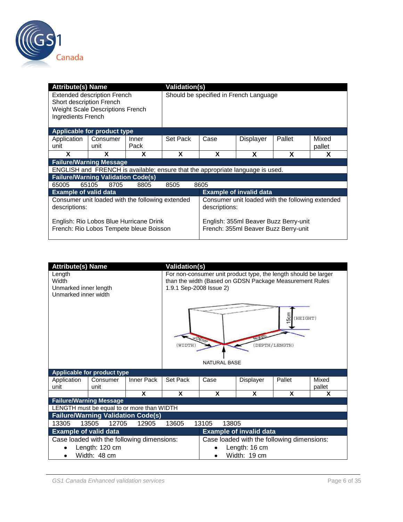

| <b>Attribute(s) Name</b>                       |                                                                                    |               |          | <b>Validation(s)</b>                                                          |                                |        |                 |  |
|------------------------------------------------|------------------------------------------------------------------------------------|---------------|----------|-------------------------------------------------------------------------------|--------------------------------|--------|-----------------|--|
| Short description French<br>Ingredients French | <b>Extended description French</b><br><b>Weight Scale Descriptions French</b>      |               |          | Should be specified in French Language                                        |                                |        |                 |  |
| Applicable for product type                    |                                                                                    |               |          |                                                                               |                                |        |                 |  |
| Application<br>unit                            | Consumer<br>unit                                                                   | Inner<br>Pack | Set Pack | Case                                                                          | <b>Displayer</b>               | Pallet | Mixed<br>pallet |  |
| X                                              | x                                                                                  | X             | X        | X                                                                             | X                              | X      | X               |  |
| <b>Failure/Warning Message</b>                 |                                                                                    |               |          |                                                                               |                                |        |                 |  |
|                                                | ENGLISH and FRENCH is available; ensure that the appropriate language is used.     |               |          |                                                                               |                                |        |                 |  |
| <b>Failure/Warning Validation Code(s)</b>      |                                                                                    |               |          |                                                                               |                                |        |                 |  |
| 65005                                          | 8705<br>65105                                                                      | 8805          | 8505     | 8605                                                                          |                                |        |                 |  |
| <b>Example of valid data</b>                   |                                                                                    |               |          |                                                                               | <b>Example of invalid data</b> |        |                 |  |
| descriptions:                                  | Consumer unit loaded with the following extended                                   |               |          | Consumer unit loaded with the following extended<br>descriptions:             |                                |        |                 |  |
|                                                | English: Rio Lobos Blue Hurricane Drink<br>French: Rio Lobos Tempete bleue Boisson |               |          | English: 355ml Beaver Buzz Berry-unit<br>French: 355ml Beaver Buzz Berry-unit |                                |        |                 |  |

| <b>Attribute(s) Name</b>                                         |                                            |            | <b>Validation(s)</b> |                                                                                                                                                                              |                                |                           |                 |  |
|------------------------------------------------------------------|--------------------------------------------|------------|----------------------|------------------------------------------------------------------------------------------------------------------------------------------------------------------------------|--------------------------------|---------------------------|-----------------|--|
| Length<br>Width<br>Unmarked inner length<br>Unmarked inner width |                                            |            | WIDTH                | For non-consumer unit product type, the length should be larger<br>than the width (Based on GDSN Package Measurement Rules<br>1.9.1 Sep-2008 Issue 2)<br><b>NATURAL BASE</b> |                                | (HEIGHT)<br>DEPTH/LENGTH) |                 |  |
|                                                                  | <b>Applicable for product type</b>         |            |                      |                                                                                                                                                                              |                                |                           |                 |  |
| Application<br>unit                                              | Consumer<br>unit                           | Inner Pack | Set Pack             | Case                                                                                                                                                                         | Displayer                      | Pallet                    | Mixed<br>pallet |  |
|                                                                  |                                            | X          | X                    | X                                                                                                                                                                            | X                              | X                         | X               |  |
|                                                                  | <b>Failure/Warning Message</b>             |            |                      |                                                                                                                                                                              |                                |                           |                 |  |
|                                                                  | LENGTH must be equal to or more than WIDTH |            |                      |                                                                                                                                                                              |                                |                           |                 |  |
|                                                                  | <b>Failure/Warning Validation Code(s)</b>  |            |                      |                                                                                                                                                                              |                                |                           |                 |  |
| 13305                                                            | 13505<br>12705                             | 12905      | 13605                | 13105<br>13805                                                                                                                                                               |                                |                           |                 |  |
| <b>Example of valid data</b>                                     |                                            |            |                      |                                                                                                                                                                              | <b>Example of invalid data</b> |                           |                 |  |
|                                                                  | Case loaded with the following dimensions: |            |                      | Case loaded with the following dimensions:                                                                                                                                   |                                |                           |                 |  |
|                                                                  | Length: 120 cm                             |            |                      | Length: 16 cm                                                                                                                                                                |                                |                           |                 |  |
|                                                                  | Width: 48 cm                               |            |                      |                                                                                                                                                                              | Width: 19 cm                   |                           |                 |  |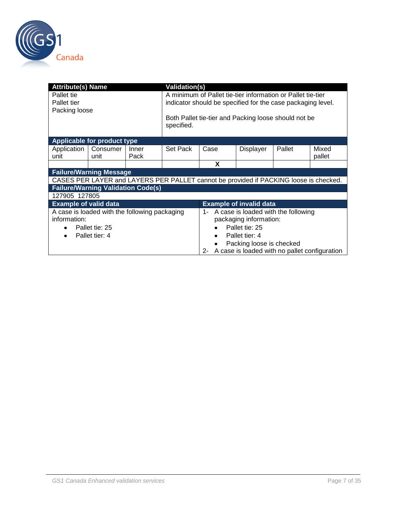

| <b>Attribute(s) Name</b>       |                                                                                       |       | <b>Validation(s)</b>                                        |                                                  |                                |                                                             |        |  |  |
|--------------------------------|---------------------------------------------------------------------------------------|-------|-------------------------------------------------------------|--------------------------------------------------|--------------------------------|-------------------------------------------------------------|--------|--|--|
| Pallet tie                     |                                                                                       |       |                                                             |                                                  |                                | A minimum of Pallet tie-tier information or Pallet tie-tier |        |  |  |
| Pallet tier                    |                                                                                       |       | indicator should be specified for the case packaging level. |                                                  |                                |                                                             |        |  |  |
| Packing loose                  |                                                                                       |       |                                                             |                                                  |                                |                                                             |        |  |  |
|                                |                                                                                       |       | Both Pallet tie-tier and Packing loose should not be        |                                                  |                                |                                                             |        |  |  |
|                                |                                                                                       |       | specified.                                                  |                                                  |                                |                                                             |        |  |  |
|                                |                                                                                       |       |                                                             |                                                  |                                |                                                             |        |  |  |
|                                | Applicable for product type                                                           |       |                                                             |                                                  |                                |                                                             |        |  |  |
| Application                    | Consumer                                                                              | Inner | Set Pack                                                    | Case                                             | <b>Displayer</b>               | Pallet                                                      | Mixed  |  |  |
| unit                           | unit                                                                                  | Pack  |                                                             |                                                  |                                |                                                             | pallet |  |  |
|                                |                                                                                       |       |                                                             | X                                                |                                |                                                             |        |  |  |
| <b>Failure/Warning Message</b> |                                                                                       |       |                                                             |                                                  |                                |                                                             |        |  |  |
|                                | CASES PER LAYER and LAYERS PER PALLET cannot be provided if PACKING loose is checked. |       |                                                             |                                                  |                                |                                                             |        |  |  |
|                                | <b>Failure/Warning Validation Code(s)</b>                                             |       |                                                             |                                                  |                                |                                                             |        |  |  |
| 127905 127805                  |                                                                                       |       |                                                             |                                                  |                                |                                                             |        |  |  |
| <b>Example of valid data</b>   |                                                                                       |       |                                                             |                                                  | <b>Example of invalid data</b> |                                                             |        |  |  |
|                                | A case is loaded with the following packaging                                         |       |                                                             |                                                  |                                | 1- A case is loaded with the following                      |        |  |  |
| information:                   |                                                                                       |       |                                                             | packaging information:                           |                                |                                                             |        |  |  |
|                                | Pallet tie: 25                                                                        |       |                                                             | Pallet tie: 25                                   |                                |                                                             |        |  |  |
| ٠                              | Pallet tier: 4                                                                        |       |                                                             | ٠                                                | Pallet tier: 4                 |                                                             |        |  |  |
|                                |                                                                                       |       |                                                             | Packing loose is checked                         |                                |                                                             |        |  |  |
|                                |                                                                                       |       |                                                             | 2- A case is loaded with no pallet configuration |                                |                                                             |        |  |  |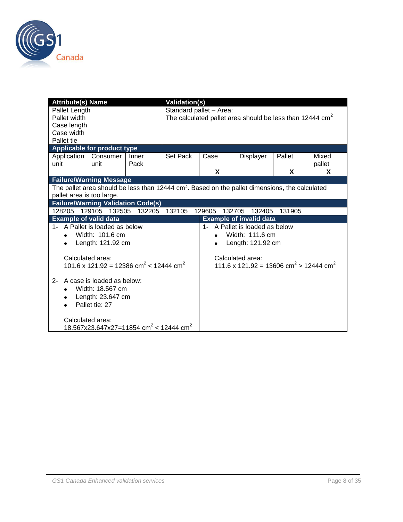

| <b>Attribute(s) Name</b>                                                                                   |                                                                |        | <b>Validation(s)</b>           |                         |                                                                |        |        |  |
|------------------------------------------------------------------------------------------------------------|----------------------------------------------------------------|--------|--------------------------------|-------------------------|----------------------------------------------------------------|--------|--------|--|
| Pallet Length                                                                                              |                                                                |        |                                | Standard pallet - Area: |                                                                |        |        |  |
| Pallet width                                                                                               |                                                                |        |                                |                         | The calculated pallet area should be less than 12444 $cm2$     |        |        |  |
| Case length                                                                                                |                                                                |        |                                |                         |                                                                |        |        |  |
| Case width                                                                                                 |                                                                |        |                                |                         |                                                                |        |        |  |
| Pallet tie                                                                                                 |                                                                |        |                                |                         |                                                                |        |        |  |
|                                                                                                            | Applicable for product type                                    |        |                                |                         |                                                                |        |        |  |
| Application                                                                                                | Consumer                                                       | Inner  | Set Pack                       | Case                    | Displayer                                                      | Pallet | Mixed  |  |
| unit                                                                                                       | unit                                                           | Pack   |                                |                         |                                                                |        | pallet |  |
|                                                                                                            |                                                                |        |                                | X                       |                                                                | X      | X      |  |
|                                                                                                            | <b>Failure/Warning Message</b>                                 |        |                                |                         |                                                                |        |        |  |
| The pallet area should be less than 12444 cm <sup>2</sup> . Based on the pallet dimensions, the calculated |                                                                |        |                                |                         |                                                                |        |        |  |
|                                                                                                            | pallet area is too large.                                      |        |                                |                         |                                                                |        |        |  |
|                                                                                                            | <b>Failure/Warning Validation Code(s)</b>                      |        |                                |                         |                                                                |        |        |  |
| 128205                                                                                                     | 129105<br>132505                                               | 132205 | 132105                         | 129605<br>132705        | 132405                                                         | 131905 |        |  |
| <b>Example of valid data</b>                                                                               |                                                                |        |                                |                         | <b>Example of invalid data</b>                                 |        |        |  |
|                                                                                                            | 1- A Pallet is loaded as below                                 |        |                                |                         | 1- A Pallet is loaded as below                                 |        |        |  |
| $\bullet$                                                                                                  | Width: 101.6 cm                                                |        | Width: 111.6 cm<br>$\bullet$   |                         |                                                                |        |        |  |
| ٠                                                                                                          | Length: 121.92 cm                                              |        | Length: 121.92 cm<br>$\bullet$ |                         |                                                                |        |        |  |
|                                                                                                            |                                                                |        |                                |                         |                                                                |        |        |  |
|                                                                                                            | Calculated area:                                               |        |                                |                         | Calculated area:                                               |        |        |  |
|                                                                                                            | 101.6 x 121.92 = 12386 cm <sup>2</sup> < 12444 cm <sup>2</sup> |        |                                |                         | 111.6 x 121.92 = 13606 cm <sup>2</sup> > 12444 cm <sup>2</sup> |        |        |  |
|                                                                                                            |                                                                |        |                                |                         |                                                                |        |        |  |
| $2 -$                                                                                                      | A case is loaded as below:                                     |        |                                |                         |                                                                |        |        |  |
|                                                                                                            | Width: 18.567 cm                                               |        |                                |                         |                                                                |        |        |  |
| $\bullet$                                                                                                  | Length: 23.647 cm                                              |        |                                |                         |                                                                |        |        |  |
|                                                                                                            | Pallet tie: 27                                                 |        |                                |                         |                                                                |        |        |  |
|                                                                                                            |                                                                |        |                                |                         |                                                                |        |        |  |
|                                                                                                            | Calculated area:                                               |        |                                |                         |                                                                |        |        |  |
|                                                                                                            | 18.567x23.647x27=11854 cm <sup>2</sup> < 12444 cm <sup>2</sup> |        |                                |                         |                                                                |        |        |  |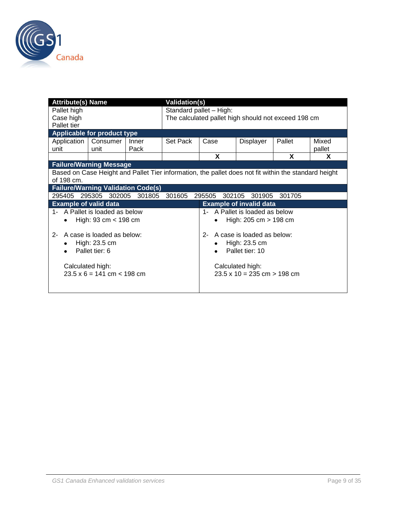

| <b>Attribute(s) Name</b>                                                                             | <b>Validation(s)</b>                   |        |          |                                         |   |                                                    |                                                     |        |  |
|------------------------------------------------------------------------------------------------------|----------------------------------------|--------|----------|-----------------------------------------|---|----------------------------------------------------|-----------------------------------------------------|--------|--|
| Pallet high                                                                                          |                                        |        |          | Standard pallet - High:                 |   |                                                    |                                                     |        |  |
| Case high                                                                                            |                                        |        |          |                                         |   |                                                    | The calculated pallet high should not exceed 198 cm |        |  |
| Pallet tier                                                                                          |                                        |        |          |                                         |   |                                                    |                                                     |        |  |
|                                                                                                      | Applicable for product type            |        |          |                                         |   |                                                    |                                                     |        |  |
| Application                                                                                          | Consumer                               | Inner  | Set Pack | Case                                    |   | Displayer                                          | Pallet                                              | Mixed  |  |
| unit                                                                                                 | unit                                   | Pack   |          |                                         |   |                                                    |                                                     | pallet |  |
|                                                                                                      |                                        |        |          |                                         | X |                                                    | X                                                   | X      |  |
|                                                                                                      | <b>Failure/Warning Message</b>         |        |          |                                         |   |                                                    |                                                     |        |  |
| Based on Case Height and Pallet Tier information, the pallet does not fit within the standard height |                                        |        |          |                                         |   |                                                    |                                                     |        |  |
| of 198 cm.                                                                                           |                                        |        |          |                                         |   |                                                    |                                                     |        |  |
| <b>Failure/Warning Validation Code(s)</b>                                                            |                                        |        |          |                                         |   |                                                    |                                                     |        |  |
|                                                                                                      | 295405 295305 302005                   | 301805 | 301605   | 295505                                  |   | 302105 301905                                      | 301705                                              |        |  |
| <b>Example of valid data</b>                                                                         |                                        |        |          |                                         |   | <b>Example of invalid data</b>                     |                                                     |        |  |
|                                                                                                      | 1- A Pallet is loaded as below         |        |          | 1- A Pallet is loaded as below          |   |                                                    |                                                     |        |  |
|                                                                                                      | High: $93 \text{ cm} < 198 \text{ cm}$ |        |          | High: $205 \text{ cm} > 198 \text{ cm}$ |   |                                                    |                                                     |        |  |
|                                                                                                      |                                        |        |          |                                         |   |                                                    |                                                     |        |  |
| $2 -$                                                                                                | A case is loaded as below:             |        |          | $2 -$                                   |   | A case is loaded as below:                         |                                                     |        |  |
| ٠                                                                                                    | High: 23.5 cm                          |        |          | High: 23.5 cm                           |   |                                                    |                                                     |        |  |
|                                                                                                      | Pallet tier: 6                         |        |          |                                         |   | Pallet tier: 10                                    |                                                     |        |  |
|                                                                                                      |                                        |        |          |                                         |   |                                                    |                                                     |        |  |
| Calculated high:                                                                                     |                                        |        |          |                                         |   | Calculated high:                                   |                                                     |        |  |
|                                                                                                      | $23.5 \times 6 = 141$ cm $< 198$ cm    |        |          |                                         |   | $23.5 \times 10 = 235 \text{ cm} > 198 \text{ cm}$ |                                                     |        |  |
|                                                                                                      |                                        |        |          |                                         |   |                                                    |                                                     |        |  |
|                                                                                                      |                                        |        |          |                                         |   |                                                    |                                                     |        |  |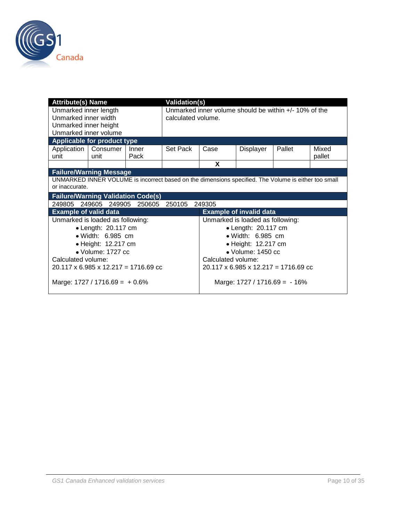

| <b>Attribute(s) Name</b>                                                                                               |                                                  |               | <b>Validation(s)</b> |                                                                                |                           |        |                 |  |  |
|------------------------------------------------------------------------------------------------------------------------|--------------------------------------------------|---------------|----------------------|--------------------------------------------------------------------------------|---------------------------|--------|-----------------|--|--|
| Unmarked inner length<br>Unmarked inner width                                                                          |                                                  |               |                      | Unmarked inner volume should be within $+/- 10\%$ of the<br>calculated volume. |                           |        |                 |  |  |
| Unmarked inner height                                                                                                  |                                                  |               |                      |                                                                                |                           |        |                 |  |  |
| Unmarked inner volume                                                                                                  |                                                  |               |                      |                                                                                |                           |        |                 |  |  |
|                                                                                                                        | Applicable for product type                      |               |                      |                                                                                |                           |        |                 |  |  |
| unit                                                                                                                   | Application   Consumer<br>unit                   | Inner<br>Pack | Set Pack             | Case                                                                           | Displayer                 | Pallet | Mixed<br>pallet |  |  |
|                                                                                                                        |                                                  |               |                      | X                                                                              |                           |        |                 |  |  |
|                                                                                                                        | <b>Failure/Warning Message</b>                   |               |                      |                                                                                |                           |        |                 |  |  |
| UNMARKED INNER VOLUME is incorrect based on the dimensions specified. The Volume is either too small<br>or inaccurate. |                                                  |               |                      |                                                                                |                           |        |                 |  |  |
|                                                                                                                        | <b>Failure/Warning Validation Code(s)</b>        |               |                      |                                                                                |                           |        |                 |  |  |
|                                                                                                                        | 249805 249605 249905                             | 250605 250105 |                      | 249305                                                                         |                           |        |                 |  |  |
| <b>Example of valid data</b>                                                                                           |                                                  |               |                      | <b>Example of invalid data</b>                                                 |                           |        |                 |  |  |
|                                                                                                                        | Unmarked is loaded as following:                 |               |                      | Unmarked is loaded as following:                                               |                           |        |                 |  |  |
|                                                                                                                        | $\bullet$ Length: 20.117 cm                      |               |                      | • Length: 20.117 cm                                                            |                           |        |                 |  |  |
|                                                                                                                        | · Width: 6.985 cm                                |               |                      |                                                                                | • Width: 6.985 cm         |        |                 |  |  |
|                                                                                                                        | • Height: 12.217 cm                              |               |                      |                                                                                | • Height: 12.217 cm       |        |                 |  |  |
|                                                                                                                        | $\bullet$ Volume: 1727 cc                        |               |                      |                                                                                | $\bullet$ Volume: 1450 cc |        |                 |  |  |
| Calculated volume:                                                                                                     |                                                  |               |                      | Calculated volume:                                                             |                           |        |                 |  |  |
|                                                                                                                        | $20.117 \times 6.985 \times 12.217 = 1716.69$ cc |               |                      | $20.117 \times 6.985 \times 12.217 = 1716.69$ cc                               |                           |        |                 |  |  |
|                                                                                                                        | Marge: $1727 / 1716.69 = +0.6\%$                 |               |                      | Marge: $1727 / 1716.69 = -16%$                                                 |                           |        |                 |  |  |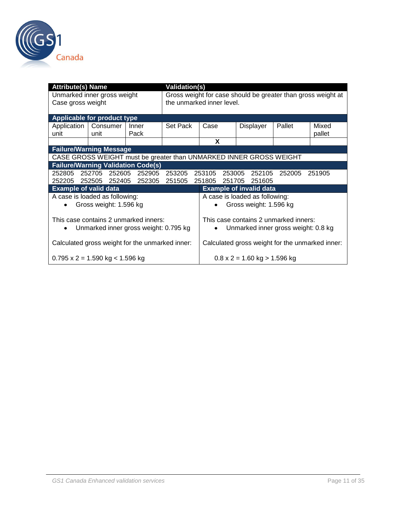

| <b>Attribute(s) Name</b>     |                                                 |               | <b>Validation(s)</b> |                                                                    |                                                     |        |        |  |  |
|------------------------------|-------------------------------------------------|---------------|----------------------|--------------------------------------------------------------------|-----------------------------------------------------|--------|--------|--|--|
|                              | Unmarked inner gross weight                     |               |                      | Gross weight for case should be greater than gross weight at       |                                                     |        |        |  |  |
| Case gross weight            |                                                 |               |                      | the unmarked inner level.                                          |                                                     |        |        |  |  |
|                              |                                                 |               |                      |                                                                    |                                                     |        |        |  |  |
| Applicable for product type  |                                                 |               |                      |                                                                    |                                                     |        |        |  |  |
| Application                  | Consumer                                        | Inner         | Set Pack             | Case                                                               | Displayer                                           | Pallet | Mixed  |  |  |
| unit                         | unit                                            | Pack          |                      |                                                                    |                                                     |        | pallet |  |  |
|                              |                                                 |               |                      | X                                                                  |                                                     |        |        |  |  |
|                              | <b>Failure/Warning Message</b>                  |               |                      |                                                                    |                                                     |        |        |  |  |
|                              |                                                 |               |                      | CASE GROSS WEIGHT must be greater than UNMARKED INNER GROSS WEIGHT |                                                     |        |        |  |  |
|                              | <b>Failure/Warning Validation Code(s)</b>       |               |                      |                                                                    |                                                     |        |        |  |  |
|                              | 252805 252705 252605                            | 252905 253205 |                      | 253105                                                             | 253005 252105                                       | 252005 | 251905 |  |  |
|                              | 252205 252505 252405 252305 251505              |               |                      | 251805                                                             | 251705 251605                                       |        |        |  |  |
| <b>Example of valid data</b> |                                                 |               |                      |                                                                    | <b>Example of invalid data</b>                      |        |        |  |  |
|                              | A case is loaded as following:                  |               |                      | A case is loaded as following:                                     |                                                     |        |        |  |  |
|                              | Gross weight: 1.596 kg                          |               |                      | Gross weight: 1.596 kg                                             |                                                     |        |        |  |  |
|                              |                                                 |               |                      |                                                                    |                                                     |        |        |  |  |
|                              | This case contains 2 unmarked inners:           |               |                      | This case contains 2 unmarked inners:                              |                                                     |        |        |  |  |
|                              | Unmarked inner gross weight: 0.795 kg           |               |                      | $\bullet$                                                          | Unmarked inner gross weight: 0.8 kg                 |        |        |  |  |
|                              |                                                 |               |                      |                                                                    |                                                     |        |        |  |  |
|                              | Calculated gross weight for the unmarked inner: |               |                      | Calculated gross weight for the unmarked inner:                    |                                                     |        |        |  |  |
|                              | $0.795 \times 2 = 1.590$ kg < 1.596 kg          |               |                      |                                                                    | $0.8 \times 2 = 1.60 \text{ kg} > 1.596 \text{ kg}$ |        |        |  |  |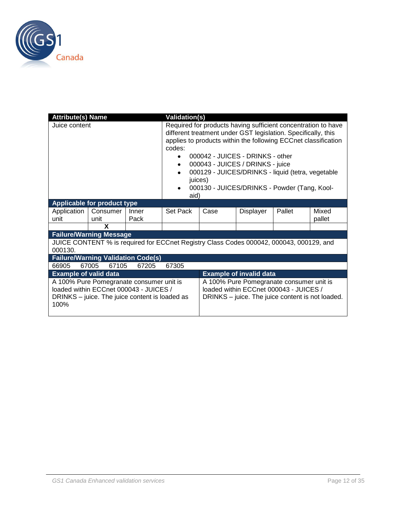

| <b>Attribute(s) Name</b>     |                                                                                                                                      |               | <b>Validation(s)</b>                                       |                                                                                                                                                                                                                                                                                                                                                                                                  |           |        |                 |  |
|------------------------------|--------------------------------------------------------------------------------------------------------------------------------------|---------------|------------------------------------------------------------|--------------------------------------------------------------------------------------------------------------------------------------------------------------------------------------------------------------------------------------------------------------------------------------------------------------------------------------------------------------------------------------------------|-----------|--------|-----------------|--|
| Juice content                |                                                                                                                                      |               | codes:<br>$\bullet$<br>$\bullet$<br>$\bullet$<br>$\bullet$ | Required for products having sufficient concentration to have<br>different treatment under GST legislation. Specifically, this<br>applies to products within the following ECCnet classification<br>000042 - JUICES - DRINKS - other<br>000043 - JUICES / DRINKS - juice<br>000129 - JUICES/DRINKS - liquid (tetra, vegetable<br>juices)<br>000130 - JUICES/DRINKS - Powder (Tang, Kool-<br>aid) |           |        |                 |  |
|                              | Applicable for product type                                                                                                          |               |                                                            |                                                                                                                                                                                                                                                                                                                                                                                                  |           |        |                 |  |
| Application<br>unit          | Consumer<br>unit                                                                                                                     | Inner<br>Pack | Set Pack                                                   | Case                                                                                                                                                                                                                                                                                                                                                                                             | Displayer | Pallet | Mixed<br>pallet |  |
|                              | X                                                                                                                                    |               |                                                            |                                                                                                                                                                                                                                                                                                                                                                                                  |           |        |                 |  |
|                              | <b>Failure/Warning Message</b>                                                                                                       |               |                                                            |                                                                                                                                                                                                                                                                                                                                                                                                  |           |        |                 |  |
| 000130.                      | JUICE CONTENT % is required for ECCnet Registry Class Codes 000042, 000043, 000129, and                                              |               |                                                            |                                                                                                                                                                                                                                                                                                                                                                                                  |           |        |                 |  |
|                              | <b>Failure/Warning Validation Code(s)</b>                                                                                            |               |                                                            |                                                                                                                                                                                                                                                                                                                                                                                                  |           |        |                 |  |
| 66905                        | 67005<br>67105                                                                                                                       | 67205         | 67305                                                      |                                                                                                                                                                                                                                                                                                                                                                                                  |           |        |                 |  |
| <b>Example of valid data</b> |                                                                                                                                      |               |                                                            |                                                                                                                                                                                                                                                                                                                                                                                                  |           |        |                 |  |
| 100%                         | A 100% Pure Pomegranate consumer unit is<br>loaded within ECCnet 000043 - JUICES /<br>DRINKS – juice. The juice content is loaded as |               |                                                            | <b>Example of invalid data</b><br>A 100% Pure Pomegranate consumer unit is<br>loaded within ECCnet 000043 - JUICES /<br>DRINKS – juice. The juice content is not loaded.                                                                                                                                                                                                                         |           |        |                 |  |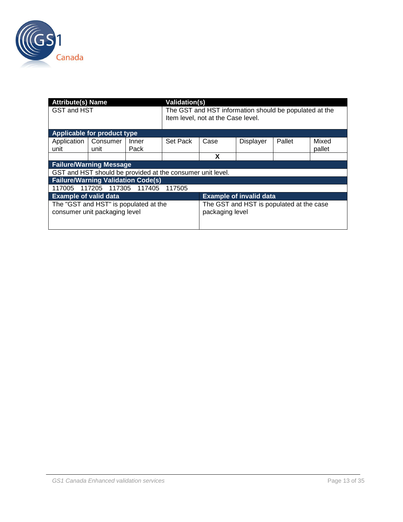

| <b>Attribute(s) Name</b>     |                                                            |        |                                    | Validation(s)                                          |                                |                                          |        |  |  |  |  |
|------------------------------|------------------------------------------------------------|--------|------------------------------------|--------------------------------------------------------|--------------------------------|------------------------------------------|--------|--|--|--|--|
| GST and HST                  |                                                            |        |                                    | The GST and HST information should be populated at the |                                |                                          |        |  |  |  |  |
|                              |                                                            |        | Item level, not at the Case level. |                                                        |                                |                                          |        |  |  |  |  |
|                              |                                                            |        |                                    |                                                        |                                |                                          |        |  |  |  |  |
| Applicable for product type  |                                                            |        |                                    |                                                        |                                |                                          |        |  |  |  |  |
| Application                  | Consumer                                                   | Inner  | Set Pack                           | Case                                                   | <b>Displayer</b>               | Pallet                                   | Mixed  |  |  |  |  |
| unit                         | unit                                                       | Pack   |                                    |                                                        |                                |                                          | pallet |  |  |  |  |
|                              |                                                            |        |                                    | x                                                      |                                |                                          |        |  |  |  |  |
|                              | <b>Failure/Warning Message</b>                             |        |                                    |                                                        |                                |                                          |        |  |  |  |  |
|                              | GST and HST should be provided at the consumer unit level. |        |                                    |                                                        |                                |                                          |        |  |  |  |  |
|                              | <b>Failure/Warning Validation Code(s)</b>                  |        |                                    |                                                        |                                |                                          |        |  |  |  |  |
| 117005                       | 117205 117305                                              | 117405 | 117505                             |                                                        |                                |                                          |        |  |  |  |  |
| <b>Example of valid data</b> |                                                            |        |                                    |                                                        | <b>Example of invalid data</b> |                                          |        |  |  |  |  |
|                              | The "GST and HST" is populated at the                      |        |                                    |                                                        |                                | The GST and HST is populated at the case |        |  |  |  |  |
|                              | consumer unit packaging level                              |        |                                    | packaging level                                        |                                |                                          |        |  |  |  |  |
|                              |                                                            |        |                                    |                                                        |                                |                                          |        |  |  |  |  |
|                              |                                                            |        |                                    |                                                        |                                |                                          |        |  |  |  |  |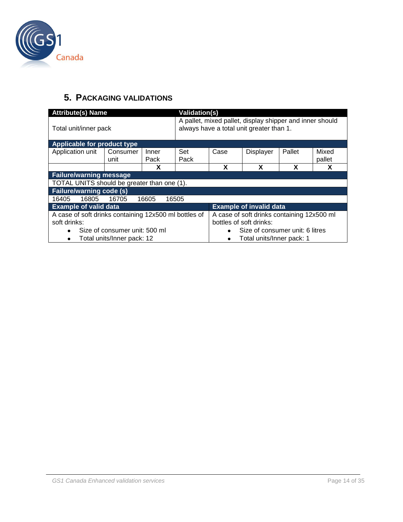

## <span id="page-13-0"></span>**5. PACKAGING VALIDATIONS**

|                                                       | <b>Attribute(s) Name</b><br>Validation(s) |                         |                                                                                                      |                           |                                            |        |                 |  |  |  |  |
|-------------------------------------------------------|-------------------------------------------|-------------------------|------------------------------------------------------------------------------------------------------|---------------------------|--------------------------------------------|--------|-----------------|--|--|--|--|
| Total unit/inner pack                                 |                                           |                         | A pallet, mixed pallet, display shipper and inner should<br>always have a total unit greater than 1. |                           |                                            |        |                 |  |  |  |  |
| Applicable for product type                           |                                           |                         |                                                                                                      |                           |                                            |        |                 |  |  |  |  |
| Application unit                                      | Consumer<br>unit                          | Inner<br>Pack           | Set<br>Pack                                                                                          | Case                      | <b>Displayer</b>                           | Pallet | Mixed<br>pallet |  |  |  |  |
|                                                       |                                           | Х                       |                                                                                                      | X                         | X                                          | x      | χ               |  |  |  |  |
| <b>Failure/warning message</b>                        |                                           |                         |                                                                                                      |                           |                                            |        |                 |  |  |  |  |
| TOTAL UNITS should be greater than one (1).           |                                           |                         |                                                                                                      |                           |                                            |        |                 |  |  |  |  |
| <b>Failure/warning code (s)</b>                       |                                           |                         |                                                                                                      |                           |                                            |        |                 |  |  |  |  |
| 16405<br>16805                                        | 16705                                     | 16605                   | 16505                                                                                                |                           |                                            |        |                 |  |  |  |  |
| <b>Example of valid data</b>                          |                                           |                         |                                                                                                      |                           | <b>Example of invalid data</b>             |        |                 |  |  |  |  |
| A case of soft drinks containing 12x500 ml bottles of |                                           |                         |                                                                                                      |                           | A case of soft drinks containing 12x500 ml |        |                 |  |  |  |  |
| soft drinks:                                          |                                           | bottles of soft drinks: |                                                                                                      |                           |                                            |        |                 |  |  |  |  |
|                                                       | Size of consumer unit: 500 ml             |                         | Size of consumer unit: 6 litres<br>٠                                                                 |                           |                                            |        |                 |  |  |  |  |
| $\bullet$                                             | Total units/Inner pack: 12                |                         |                                                                                                      | Total units/Inner pack: 1 |                                            |        |                 |  |  |  |  |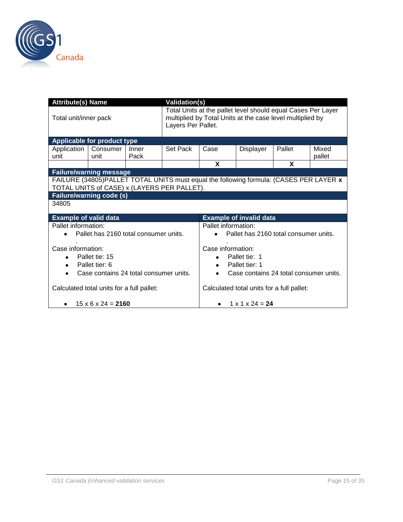

| <b>Attribute(s) Name</b>        |                                                                                        |       | <b>Validation(s)</b>                                                                                                                            |                                           |                                |                                        |        |  |  |
|---------------------------------|----------------------------------------------------------------------------------------|-------|-------------------------------------------------------------------------------------------------------------------------------------------------|-------------------------------------------|--------------------------------|----------------------------------------|--------|--|--|
| Total unit/inner pack           |                                                                                        |       | Total Units at the pallet level should equal Cases Per Layer<br>multiplied by Total Units at the case level multiplied by<br>Layers Per Pallet. |                                           |                                |                                        |        |  |  |
| Applicable for product type     |                                                                                        |       |                                                                                                                                                 |                                           |                                |                                        |        |  |  |
| Application                     | Consumer                                                                               | Inner | Set Pack                                                                                                                                        | Case                                      | Displayer                      | Pallet                                 | Mixed  |  |  |
| unit                            | unit                                                                                   | Pack  |                                                                                                                                                 |                                           |                                |                                        | pallet |  |  |
|                                 |                                                                                        |       |                                                                                                                                                 | X                                         |                                | X                                      |        |  |  |
| <b>Failure/warning message</b>  |                                                                                        |       |                                                                                                                                                 |                                           |                                |                                        |        |  |  |
|                                 | FAILURE (34805)PALLET TOTAL UNITS must equal the following formula: (CASES PER LAYER x |       |                                                                                                                                                 |                                           |                                |                                        |        |  |  |
|                                 | TOTAL UNITS of CASE) x (LAYERS PER PALLET).                                            |       |                                                                                                                                                 |                                           |                                |                                        |        |  |  |
| <b>Failure/warning code (s)</b> |                                                                                        |       |                                                                                                                                                 |                                           |                                |                                        |        |  |  |
| 34805                           |                                                                                        |       |                                                                                                                                                 |                                           |                                |                                        |        |  |  |
| <b>Example of valid data</b>    |                                                                                        |       |                                                                                                                                                 |                                           | <b>Example of invalid data</b> |                                        |        |  |  |
| Pallet information:             |                                                                                        |       |                                                                                                                                                 | Pallet information:                       |                                |                                        |        |  |  |
| $\bullet$                       | Pallet has 2160 total consumer units.                                                  |       |                                                                                                                                                 | Pallet has 2160 total consumer units.     |                                |                                        |        |  |  |
| Case information:               |                                                                                        |       |                                                                                                                                                 | Case information:                         |                                |                                        |        |  |  |
|                                 | Pallet tie: 15                                                                         |       |                                                                                                                                                 | Pallet tie: 1<br>٠                        |                                |                                        |        |  |  |
| $\bullet$                       | Pallet tier: 6                                                                         |       |                                                                                                                                                 | $\bullet$                                 | Pallet tier: 1                 |                                        |        |  |  |
| $\bullet$                       | Case contains 24 total consumer units.                                                 |       |                                                                                                                                                 | $\bullet$                                 |                                | Case contains 24 total consumer units. |        |  |  |
|                                 |                                                                                        |       |                                                                                                                                                 |                                           |                                |                                        |        |  |  |
|                                 | Calculated total units for a full pallet:                                              |       |                                                                                                                                                 | Calculated total units for a full pallet: |                                |                                        |        |  |  |
| ٠                               | $15 \times 6 \times 24 = 2160$                                                         |       |                                                                                                                                                 | $1 \times 1 \times 24 = 24$               |                                |                                        |        |  |  |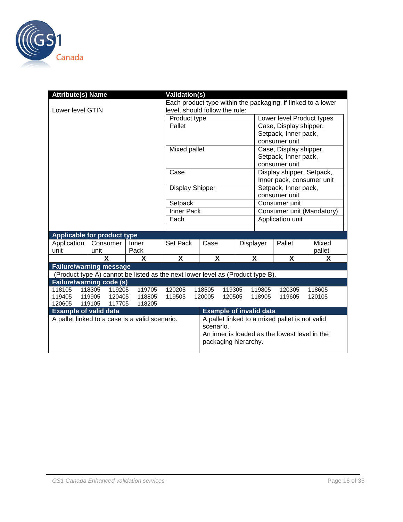

| <b>Attribute(s) Name</b>           |                  |                                                |                                                                                | <b>Validation(s)</b>           |                                               |                                |                      |                                                |                           |                                                              |  |
|------------------------------------|------------------|------------------------------------------------|--------------------------------------------------------------------------------|--------------------------------|-----------------------------------------------|--------------------------------|----------------------|------------------------------------------------|---------------------------|--------------------------------------------------------------|--|
|                                    |                  |                                                |                                                                                |                                |                                               |                                |                      |                                                |                           | Each product type within the packaging, if linked to a lower |  |
| Lower level GTIN                   |                  |                                                |                                                                                | level, should follow the rule: |                                               |                                |                      |                                                |                           |                                                              |  |
|                                    |                  |                                                |                                                                                | Product type                   |                                               |                                |                      | Lower level Product types                      |                           |                                                              |  |
|                                    |                  |                                                |                                                                                | Pallet                         |                                               |                                |                      |                                                | Case, Display shipper,    |                                                              |  |
|                                    |                  |                                                |                                                                                |                                |                                               |                                |                      | Setpack, Inner pack,                           |                           |                                                              |  |
|                                    |                  |                                                |                                                                                |                                |                                               |                                | consumer unit        |                                                |                           |                                                              |  |
|                                    |                  |                                                |                                                                                | Mixed pallet                   |                                               |                                |                      | Case, Display shipper,                         |                           |                                                              |  |
|                                    |                  |                                                |                                                                                |                                |                                               |                                |                      | Setpack, Inner pack,                           |                           |                                                              |  |
|                                    |                  |                                                |                                                                                |                                |                                               |                                |                      |                                                | consumer unit             |                                                              |  |
|                                    |                  |                                                |                                                                                | Case                           |                                               |                                |                      | Display shipper, Setpack,                      |                           |                                                              |  |
|                                    |                  |                                                |                                                                                |                                |                                               |                                |                      |                                                | Inner pack, consumer unit |                                                              |  |
|                                    |                  |                                                | <b>Display Shipper</b>                                                         |                                |                                               |                                |                      | Setpack, Inner pack,                           |                           |                                                              |  |
|                                    |                  |                                                |                                                                                | Setpack                        |                                               |                                |                      |                                                | consumer unit             |                                                              |  |
|                                    |                  |                                                |                                                                                |                                |                                               |                                |                      | Consumer unit                                  |                           |                                                              |  |
|                                    |                  |                                                |                                                                                | Inner Pack                     |                                               |                                |                      | Consumer unit (Mandatory)<br>Application unit  |                           |                                                              |  |
|                                    |                  |                                                | Each                                                                           |                                |                                               |                                |                      |                                                |                           |                                                              |  |
|                                    |                  |                                                |                                                                                |                                |                                               |                                |                      |                                                |                           |                                                              |  |
| <b>Applicable for product type</b> |                  |                                                |                                                                                |                                |                                               |                                |                      |                                                |                           |                                                              |  |
| Application                        | Consumer         |                                                | Inner                                                                          | Set Pack                       |                                               | Case<br>Displayer              |                      |                                                | Pallet                    | Mixed                                                        |  |
| unit                               | unit             |                                                | Pack                                                                           |                                |                                               |                                |                      |                                                |                           | pallet                                                       |  |
|                                    | $\mathbf x$      |                                                | X                                                                              | X                              | X                                             |                                |                      | $\boldsymbol{\mathsf{X}}$                      | X                         | X                                                            |  |
| <b>Failure/warning message</b>     |                  |                                                |                                                                                |                                |                                               |                                |                      |                                                |                           |                                                              |  |
|                                    |                  |                                                | (Product type A) cannot be listed as the next lower level as (Product type B). |                                |                                               |                                |                      |                                                |                           |                                                              |  |
| <b>Failure/warning code (s)</b>    |                  |                                                |                                                                                |                                |                                               |                                |                      |                                                |                           |                                                              |  |
| 118105<br>119405                   | 118305<br>119905 | 119205<br>120405                               | 119705<br>118805                                                               | 120205<br>119505               | 118505<br>120005                              | 119305<br>120505               |                      | 119805<br>118905                               | 120305<br>119605          | 118605<br>120105                                             |  |
| 120605                             | 119105           | 117705                                         | 118205                                                                         |                                |                                               |                                |                      |                                                |                           |                                                              |  |
| <b>Example of valid data</b>       |                  |                                                |                                                                                |                                |                                               | <b>Example of invalid data</b> |                      |                                                |                           |                                                              |  |
|                                    |                  | A pallet linked to a case is a valid scenario. |                                                                                |                                |                                               |                                |                      | A pallet linked to a mixed pallet is not valid |                           |                                                              |  |
|                                    |                  | scenario.                                      |                                                                                |                                |                                               |                                |                      |                                                |                           |                                                              |  |
|                                    |                  |                                                |                                                                                |                                | An inner is loaded as the lowest level in the |                                |                      |                                                |                           |                                                              |  |
|                                    |                  |                                                |                                                                                |                                |                                               |                                | packaging hierarchy. |                                                |                           |                                                              |  |
|                                    |                  |                                                |                                                                                |                                |                                               |                                |                      |                                                |                           |                                                              |  |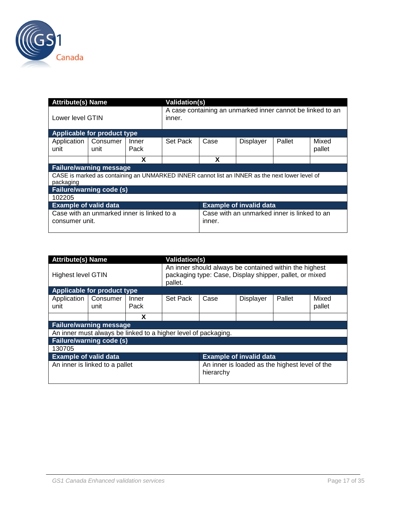

| <b>Attribute(s) Name</b>        |                                                                                                |               | <b>Validation(s)</b>                                                 |                                                       |                                |        |                 |  |  |  |
|---------------------------------|------------------------------------------------------------------------------------------------|---------------|----------------------------------------------------------------------|-------------------------------------------------------|--------------------------------|--------|-----------------|--|--|--|
| Lower level GTIN                |                                                                                                |               | A case containing an unmarked inner cannot be linked to an<br>inner. |                                                       |                                |        |                 |  |  |  |
| Applicable for product type     |                                                                                                |               |                                                                      |                                                       |                                |        |                 |  |  |  |
| Application<br>unit             | Consumer<br>unit                                                                               | Inner<br>Pack | Set Pack                                                             | Case                                                  | Displayer                      | Pallet | Mixed<br>pallet |  |  |  |
|                                 |                                                                                                | X             |                                                                      | X                                                     |                                |        |                 |  |  |  |
| <b>Failure/warning message</b>  |                                                                                                |               |                                                                      |                                                       |                                |        |                 |  |  |  |
| packaging                       | CASE is marked as containing an UNMARKED INNER cannot list an INNER as the next lower level of |               |                                                                      |                                                       |                                |        |                 |  |  |  |
| <b>Failure/warning code (s)</b> |                                                                                                |               |                                                                      |                                                       |                                |        |                 |  |  |  |
| 102205                          |                                                                                                |               |                                                                      |                                                       |                                |        |                 |  |  |  |
| <b>Example of valid data</b>    |                                                                                                |               |                                                                      |                                                       | <b>Example of invalid data</b> |        |                 |  |  |  |
| consumer unit.                  | Case with an unmarked inner is linked to a                                                     |               |                                                                      | Case with an unmarked inner is linked to an<br>inner. |                                |        |                 |  |  |  |

| <b>Attribute(s) Name</b>     |                                                                |               | <b>Validation(s)</b> |                                                                                                                   |                                |        |                 |  |  |  |
|------------------------------|----------------------------------------------------------------|---------------|----------------------|-------------------------------------------------------------------------------------------------------------------|--------------------------------|--------|-----------------|--|--|--|
| <b>Highest level GTIN</b>    |                                                                |               | pallet.              | An inner should always be contained within the highest<br>packaging type: Case, Display shipper, pallet, or mixed |                                |        |                 |  |  |  |
|                              | Applicable for product type                                    |               |                      |                                                                                                                   |                                |        |                 |  |  |  |
| Application<br>unit          | Consumer<br>unit                                               | Inner<br>Pack | Set Pack             | Case                                                                                                              | <b>Displayer</b>               | Pallet | Mixed<br>pallet |  |  |  |
|                              |                                                                | X             |                      |                                                                                                                   |                                |        |                 |  |  |  |
|                              | <b>Failure/warning message</b>                                 |               |                      |                                                                                                                   |                                |        |                 |  |  |  |
|                              | An inner must always be linked to a higher level of packaging. |               |                      |                                                                                                                   |                                |        |                 |  |  |  |
|                              | <b>Failure/warning code (s)</b>                                |               |                      |                                                                                                                   |                                |        |                 |  |  |  |
| 130705                       |                                                                |               |                      |                                                                                                                   |                                |        |                 |  |  |  |
| <b>Example of valid data</b> |                                                                |               |                      |                                                                                                                   | <b>Example of invalid data</b> |        |                 |  |  |  |
|                              | An inner is linked to a pallet                                 |               |                      | An inner is loaded as the highest level of the<br>hierarchy                                                       |                                |        |                 |  |  |  |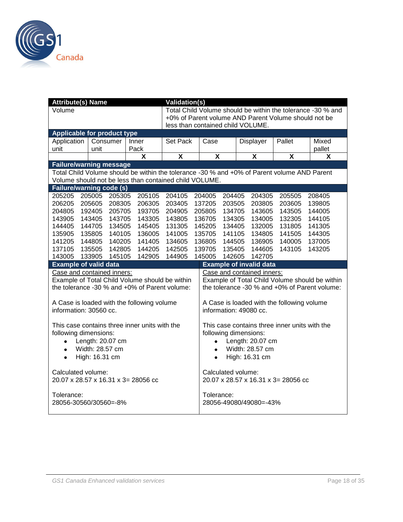

| <b>Attribute(s) Name</b>           | <b>Validation(s)</b><br>Total Child Volume should be within the tolerance -30 % and |          |                                                                                             |                                   |                                     |                                                |                       |        |                         |                                                      |                                               |  |
|------------------------------------|-------------------------------------------------------------------------------------|----------|---------------------------------------------------------------------------------------------|-----------------------------------|-------------------------------------|------------------------------------------------|-----------------------|--------|-------------------------|------------------------------------------------------|-----------------------------------------------|--|
| Volume                             |                                                                                     |          |                                                                                             |                                   |                                     |                                                |                       |        |                         |                                                      |                                               |  |
|                                    |                                                                                     |          |                                                                                             |                                   |                                     |                                                |                       |        |                         | +0% of Parent volume AND Parent Volume should not be |                                               |  |
|                                    |                                                                                     |          |                                                                                             | less than contained child VOLUME. |                                     |                                                |                       |        |                         |                                                      |                                               |  |
| <b>Applicable for product type</b> |                                                                                     |          |                                                                                             |                                   |                                     |                                                |                       |        |                         |                                                      |                                               |  |
| Application                        |                                                                                     | Consumer | Inner                                                                                       | Set Pack                          |                                     | Case                                           |                       |        | Displayer               | Pallet                                               | Mixed                                         |  |
| unit                               | unit                                                                                |          | Pack                                                                                        |                                   |                                     |                                                |                       |        |                         | pallet                                               |                                               |  |
|                                    |                                                                                     |          | $\boldsymbol{\mathsf{X}}$                                                                   | $\overline{\mathbf{X}}$           |                                     | $\overline{\mathbf{X}}$                        |                       |        | $\overline{\mathbf{X}}$ | $\overline{\mathbf{X}}$                              | $\boldsymbol{\mathsf{X}}$                     |  |
| <b>Failure/warning message</b>     |                                                                                     |          |                                                                                             |                                   |                                     |                                                |                       |        |                         |                                                      |                                               |  |
|                                    |                                                                                     |          | Total Child Volume should be within the tolerance -30 % and +0% of Parent volume AND Parent |                                   |                                     |                                                |                       |        |                         |                                                      |                                               |  |
|                                    |                                                                                     |          | Volume should not be less than contained child VOLUME.                                      |                                   |                                     |                                                |                       |        |                         |                                                      |                                               |  |
| <b>Failure/warning code (s)</b>    |                                                                                     |          |                                                                                             |                                   |                                     |                                                |                       |        |                         |                                                      |                                               |  |
| 205005<br>205205                   | 204105                                                                              |          | 204005 204405                                                                               |                                   |                                     | 204305                                         | 205505                | 208405 |                         |                                                      |                                               |  |
| 206205                             | 205605                                                                              | 208305   | 206305                                                                                      | 203405                            |                                     | 137205                                         | 203505                |        | 203805                  | 203605                                               | 139805                                        |  |
| 204805                             | 192405                                                                              | 205705   | 193705                                                                                      | 204905                            |                                     | 205805                                         | 134705                |        | 143605                  | 143505                                               | 144005                                        |  |
| 143905                             | 143405                                                                              | 143705   | 143305                                                                                      | 143805                            |                                     | 136705                                         | 134305                |        | 134005                  | 132305                                               | 144105                                        |  |
| 144405                             | 144705                                                                              | 134505   | 145405                                                                                      | 131305                            |                                     | 145205                                         | 134405                |        | 132005                  | 131805                                               | 141305                                        |  |
| 135905                             | 135805                                                                              | 140105   | 136005                                                                                      | 141005                            |                                     | 135705                                         |                       |        | 141105 134805           | 141505                                               | 144305                                        |  |
| 141205                             | 144805                                                                              | 140205   | 141405                                                                                      | 134605                            |                                     | 136805                                         | 144505                |        | 136905                  | 140005                                               | 137005                                        |  |
| 137105                             | 135505                                                                              | 142805   | 144205                                                                                      | 142505                            |                                     | 139705                                         | 135405                |        | 144605                  | 143105                                               | 143205                                        |  |
| 143005                             | 133905                                                                              | 145105   | 142905                                                                                      | 144905                            | 145005<br>142605<br>142705          |                                                |                       |        |                         |                                                      |                                               |  |
| <b>Example of valid data</b>       |                                                                                     |          |                                                                                             |                                   | <b>Example of invalid data</b>      |                                                |                       |        |                         |                                                      |                                               |  |
| Case and contained inners:         |                                                                                     |          |                                                                                             |                                   | Case and contained inners:          |                                                |                       |        |                         |                                                      |                                               |  |
|                                    |                                                                                     |          | Example of Total Child Volume should be within                                              |                                   |                                     | Example of Total Child Volume should be within |                       |        |                         |                                                      |                                               |  |
|                                    |                                                                                     |          | the tolerance -30 % and +0% of Parent volume:                                               |                                   |                                     |                                                |                       |        |                         |                                                      | the tolerance -30 % and +0% of Parent volume: |  |
|                                    |                                                                                     |          |                                                                                             |                                   |                                     |                                                |                       |        |                         |                                                      |                                               |  |
|                                    |                                                                                     |          | A Case is loaded with the following volume                                                  |                                   |                                     |                                                |                       |        |                         | A Case is loaded with the following volume           |                                               |  |
| information: 30560 cc.             |                                                                                     |          |                                                                                             |                                   |                                     |                                                |                       |        | information: 49080 cc.  |                                                      |                                               |  |
|                                    |                                                                                     |          |                                                                                             |                                   |                                     |                                                |                       |        |                         |                                                      |                                               |  |
|                                    |                                                                                     |          | This case contains three inner units with the                                               |                                   |                                     |                                                |                       |        |                         | This case contains three inner units with the        |                                               |  |
| following dimensions:              |                                                                                     |          |                                                                                             |                                   |                                     |                                                | following dimensions: |        |                         |                                                      |                                               |  |
| $\bullet$                          | Length: 20.07 cm                                                                    |          |                                                                                             |                                   |                                     | $\bullet$                                      |                       |        | Length: 20.07 cm        |                                                      |                                               |  |
| $\bullet$                          | Width: 28.57 cm                                                                     |          |                                                                                             |                                   |                                     | $\bullet$                                      |                       |        | Width: 28.57 cm         |                                                      |                                               |  |
| $\bullet$                          | High: 16.31 cm                                                                      |          |                                                                                             |                                   |                                     | $\bullet$                                      |                       |        | High: 16.31 cm          |                                                      |                                               |  |
|                                    |                                                                                     |          |                                                                                             |                                   |                                     |                                                |                       |        |                         |                                                      |                                               |  |
| Calculated volume:                 |                                                                                     |          |                                                                                             |                                   |                                     |                                                | Calculated volume:    |        |                         |                                                      |                                               |  |
|                                    |                                                                                     |          | 20.07 x 28.57 x 16.31 x 3= 28056 cc                                                         |                                   | 20.07 x 28.57 x 16.31 x 3= 28056 cc |                                                |                       |        |                         |                                                      |                                               |  |
|                                    |                                                                                     |          |                                                                                             |                                   |                                     |                                                |                       |        |                         |                                                      |                                               |  |
| Tolerance:                         |                                                                                     |          |                                                                                             |                                   |                                     | Tolerance:                                     |                       |        |                         |                                                      |                                               |  |
| 28056-30560/30560=-8%              |                                                                                     |          |                                                                                             |                                   |                                     |                                                |                       |        | 28056-49080/49080=-43%  |                                                      |                                               |  |
|                                    |                                                                                     |          |                                                                                             |                                   |                                     |                                                |                       |        |                         |                                                      |                                               |  |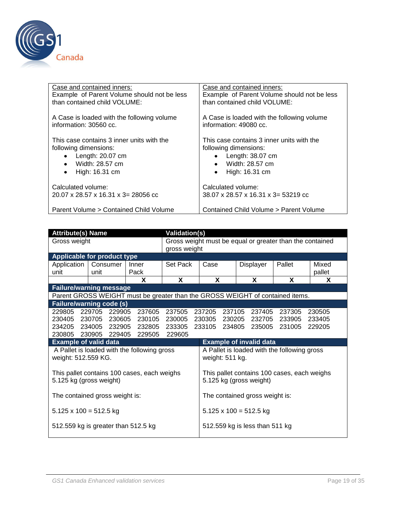

| Case and contained inners:                  | Case and contained inners:                            |  |  |  |  |  |  |
|---------------------------------------------|-------------------------------------------------------|--|--|--|--|--|--|
| Example of Parent Volume should not be less | Example of Parent Volume should not be less           |  |  |  |  |  |  |
| than contained child VOLUME:                | than contained child VOLUME:                          |  |  |  |  |  |  |
| A Case is loaded with the following volume  | A Case is loaded with the following volume            |  |  |  |  |  |  |
| information: 30560 cc.                      | information: 49080 cc.                                |  |  |  |  |  |  |
| This case contains 3 inner units with the   | This case contains 3 inner units with the             |  |  |  |  |  |  |
| following dimensions:                       | following dimensions:                                 |  |  |  |  |  |  |
| Length: 20.07 cm                            | Length: 38.07 cm                                      |  |  |  |  |  |  |
| Width: 28.57 cm                             | Width: 28.57 cm                                       |  |  |  |  |  |  |
| $\bullet$                                   | $\bullet$                                             |  |  |  |  |  |  |
| High: 16.31 cm                              | High: 16.31 cm                                        |  |  |  |  |  |  |
| ٠                                           | $\bullet$                                             |  |  |  |  |  |  |
| Calculated volume:                          | Calculated volume:                                    |  |  |  |  |  |  |
| 20.07 x 28.57 x 16.31 x 3= 28056 cc         | $38.07 \times 28.57 \times 16.31 \times 3 = 53219$ cc |  |  |  |  |  |  |
| Parent Volume > Contained Child Volume      | Contained Child Volume > Parent Volume                |  |  |  |  |  |  |

|                                 | <b>Attribute(s) Name</b>            |                                                                               |                                    |                                                                          |                                                                | <b>Validation(s)</b> |                                                                        |        |                 |  |  |  |
|---------------------------------|-------------------------------------|-------------------------------------------------------------------------------|------------------------------------|--------------------------------------------------------------------------|----------------------------------------------------------------|----------------------|------------------------------------------------------------------------|--------|-----------------|--|--|--|
| Gross weight                    |                                     |                                                                               |                                    | Gross weight must be equal or greater than the contained<br>gross weight |                                                                |                      |                                                                        |        |                 |  |  |  |
|                                 | <b>Applicable for product type</b>  |                                                                               |                                    |                                                                          |                                                                |                      |                                                                        |        |                 |  |  |  |
| Application<br>unit             | Consumer<br>unit                    | Inner<br>Pack                                                                 |                                    | Set Pack                                                                 |                                                                |                      | Displayer                                                              | Pallet | Mixed<br>pallet |  |  |  |
|                                 |                                     | x                                                                             | X                                  |                                                                          | X                                                              |                      | <b>X</b>                                                               | X      | X.              |  |  |  |
|                                 | <b>Failure/warning message</b>      |                                                                               |                                    |                                                                          |                                                                |                      |                                                                        |        |                 |  |  |  |
|                                 |                                     | Parent GROSS WEIGHT must be greater than the GROSS WEIGHT of contained items. |                                    |                                                                          |                                                                |                      |                                                                        |        |                 |  |  |  |
| <b>Failure/warning code (s)</b> |                                     |                                                                               |                                    |                                                                          |                                                                |                      |                                                                        |        |                 |  |  |  |
|                                 | 229805 229705 229905                | 237605 237505                                                                 |                                    |                                                                          |                                                                |                      | 237205 237105 237405                                                   | 237305 | 230505          |  |  |  |
|                                 | 230405 230705 230605                |                                                                               | 230105 230005 230305 230205 232705 |                                                                          |                                                                | 233905 233405        |                                                                        |        |                 |  |  |  |
|                                 | 234205 234005 232905                | 232805 233305                                                                 |                                    |                                                                          |                                                                |                      | 233105 234805 235005                                                   |        | 231005 229205   |  |  |  |
|                                 | 230805 230905 229405                | 229505                                                                        | 229605                             |                                                                          |                                                                |                      |                                                                        |        |                 |  |  |  |
| <b>Example of valid data</b>    |                                     |                                                                               |                                    |                                                                          |                                                                |                      | <b>Example of invalid data</b>                                         |        |                 |  |  |  |
| weight: 512.559 KG.             |                                     | A Pallet is loaded with the following gross                                   |                                    |                                                                          | A Pallet is loaded with the following gross<br>weight: 511 kg. |                      |                                                                        |        |                 |  |  |  |
| 5.125 kg (gross weight)         |                                     | This pallet contains 100 cases, each weighs                                   |                                    |                                                                          |                                                                |                      | This pallet contains 100 cases, each weighs<br>5.125 kg (gross weight) |        |                 |  |  |  |
|                                 | The contained gross weight is:      |                                                                               |                                    |                                                                          |                                                                |                      | The contained gross weight is:                                         |        |                 |  |  |  |
| $5.125 \times 100 = 512.5$ kg   |                                     |                                                                               |                                    |                                                                          |                                                                |                      | $5.125 \times 100 = 512.5$ kg                                          |        |                 |  |  |  |
|                                 | 512.559 kg is greater than 512.5 kg |                                                                               |                                    |                                                                          | 512.559 kg is less than 511 kg                                 |                      |                                                                        |        |                 |  |  |  |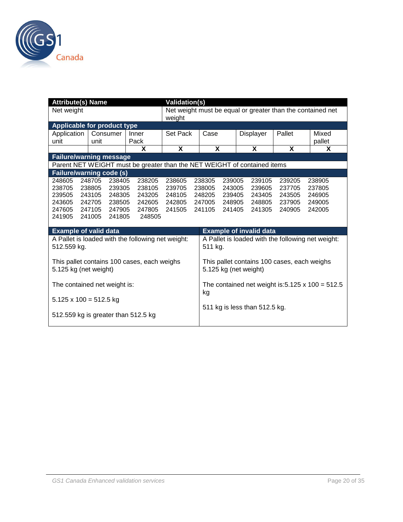

|                                     | <b>Attribute(s) Name</b><br><b>Validation(s)</b> |                  |                                                                          |                  |                                                            |                                                   |                       |  |                                |                                             |                                                  |  |  |
|-------------------------------------|--------------------------------------------------|------------------|--------------------------------------------------------------------------|------------------|------------------------------------------------------------|---------------------------------------------------|-----------------------|--|--------------------------------|---------------------------------------------|--------------------------------------------------|--|--|
| Net weight                          |                                                  |                  |                                                                          | weight           | Net weight must be equal or greater than the contained net |                                                   |                       |  |                                |                                             |                                                  |  |  |
| <b>Applicable for product type</b>  |                                                  |                  |                                                                          |                  |                                                            |                                                   |                       |  |                                |                                             |                                                  |  |  |
| Application                         |                                                  | Consumer         | Inner                                                                    | Set Pack         |                                                            | Case                                              |                       |  | Displayer                      | Pallet                                      | Mixed                                            |  |  |
| unit                                | unit                                             |                  | Pack                                                                     |                  |                                                            |                                                   |                       |  |                                |                                             | pallet                                           |  |  |
|                                     |                                                  |                  | X                                                                        | X                |                                                            | X                                                 |                       |  | X                              | X                                           | X                                                |  |  |
| <b>Failure/warning message</b>      |                                                  |                  |                                                                          |                  |                                                            |                                                   |                       |  |                                |                                             |                                                  |  |  |
|                                     |                                                  |                  | Parent NET WEIGHT must be greater than the NET WEIGHT of contained items |                  |                                                            |                                                   |                       |  |                                |                                             |                                                  |  |  |
| Failure/warning code (s)            |                                                  |                  |                                                                          |                  |                                                            |                                                   |                       |  |                                |                                             |                                                  |  |  |
| 248605                              | 248705                                           | 238405           | 238205                                                                   | 238605           |                                                            | 238305                                            | 239005                |  | 239105                         | 239205                                      | 238905                                           |  |  |
| 238705                              | 238805                                           | 239305           | 238105                                                                   | 239705           |                                                            | 238005                                            | 243005                |  | 239605                         | 237705                                      | 237805                                           |  |  |
| 239505                              | 243105                                           | 248305           | 243205                                                                   | 248105           |                                                            | 248205                                            | 239405                |  | 243405                         | 243505                                      | 246905                                           |  |  |
| 243605<br>247605                    | 242705<br>247105                                 | 238505<br>247905 | 242605<br>247805                                                         | 242805<br>241505 |                                                            | 247005<br>241105                                  | 248905<br>241405      |  | 248805<br>241305               | 237905<br>240905                            | 249005<br>242005                                 |  |  |
| 241905                              | 241005                                           | 241805           | 248505                                                                   |                  |                                                            |                                                   |                       |  |                                |                                             |                                                  |  |  |
|                                     |                                                  |                  |                                                                          |                  |                                                            |                                                   |                       |  |                                |                                             |                                                  |  |  |
| <b>Example of valid data</b>        |                                                  |                  |                                                                          |                  |                                                            |                                                   |                       |  | <b>Example of invalid data</b> |                                             |                                                  |  |  |
|                                     |                                                  |                  | A Pallet is loaded with the following net weight:                        |                  |                                                            | A Pallet is loaded with the following net weight: |                       |  |                                |                                             |                                                  |  |  |
| 512.559 kg.                         |                                                  |                  |                                                                          |                  |                                                            | 511 kg.                                           |                       |  |                                |                                             |                                                  |  |  |
|                                     |                                                  |                  |                                                                          |                  |                                                            |                                                   |                       |  |                                |                                             |                                                  |  |  |
|                                     |                                                  |                  | This pallet contains 100 cases, each weighs                              |                  |                                                            |                                                   |                       |  |                                | This pallet contains 100 cases, each weighs |                                                  |  |  |
| 5.125 kg (net weight)               |                                                  |                  |                                                                          |                  |                                                            |                                                   | 5.125 kg (net weight) |  |                                |                                             |                                                  |  |  |
|                                     |                                                  |                  |                                                                          |                  |                                                            |                                                   |                       |  |                                |                                             |                                                  |  |  |
| The contained net weight is:        |                                                  |                  |                                                                          |                  |                                                            |                                                   |                       |  |                                |                                             | The contained net weight is: 5.125 x 100 = 512.5 |  |  |
|                                     |                                                  |                  |                                                                          |                  |                                                            | kg                                                |                       |  |                                |                                             |                                                  |  |  |
| $5.125 \times 100 = 512.5$ kg       |                                                  |                  |                                                                          |                  |                                                            |                                                   |                       |  |                                |                                             |                                                  |  |  |
|                                     |                                                  |                  |                                                                          |                  |                                                            |                                                   |                       |  | 511 kg is less than 512.5 kg.  |                                             |                                                  |  |  |
| 512.559 kg is greater than 512.5 kg |                                                  |                  |                                                                          |                  |                                                            |                                                   |                       |  |                                |                                             |                                                  |  |  |
|                                     |                                                  |                  |                                                                          |                  |                                                            |                                                   |                       |  |                                |                                             |                                                  |  |  |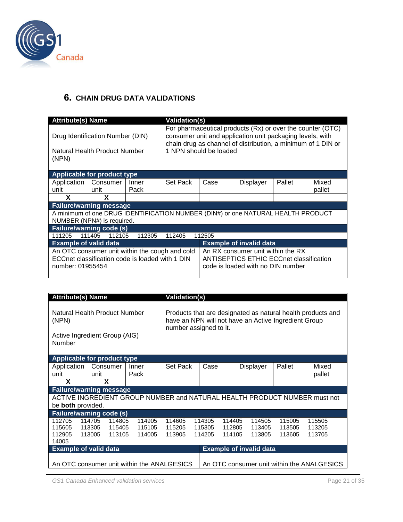

#### <span id="page-20-0"></span>**6. CHAIN DRUG DATA VALIDATIONS**

| <b>Attribute(s) Name</b>           |                                                                                                   |               | <b>Validation(s)</b> |                                                                                                                                                                                                                   |                                                                                                                          |        |                 |  |  |  |
|------------------------------------|---------------------------------------------------------------------------------------------------|---------------|----------------------|-------------------------------------------------------------------------------------------------------------------------------------------------------------------------------------------------------------------|--------------------------------------------------------------------------------------------------------------------------|--------|-----------------|--|--|--|
| (NPN)                              | Drug Identification Number (DIN)<br>Natural Health Product Number                                 |               |                      | For pharmaceutical products (Rx) or over the counter (OTC)<br>consumer unit and application unit packaging levels, with<br>chain drug as channel of distribution, a minimum of 1 DIN or<br>1 NPN should be loaded |                                                                                                                          |        |                 |  |  |  |
| <b>Applicable for product type</b> |                                                                                                   |               |                      |                                                                                                                                                                                                                   |                                                                                                                          |        |                 |  |  |  |
| Application<br>unit                | Consumer<br>unit                                                                                  | Inner<br>Pack | Set Pack             | Case                                                                                                                                                                                                              | Displayer                                                                                                                | Pallet | Mixed<br>pallet |  |  |  |
| X                                  | X                                                                                                 |               |                      |                                                                                                                                                                                                                   |                                                                                                                          |        |                 |  |  |  |
|                                    | <b>Failure/warning message</b>                                                                    |               |                      |                                                                                                                                                                                                                   |                                                                                                                          |        |                 |  |  |  |
|                                    | NUMBER (NPN#) is required.                                                                        |               |                      |                                                                                                                                                                                                                   | A minimum of one DRUG IDENTIFICATION NUMBER (DIN#) or one NATURAL HEALTH PRODUCT                                         |        |                 |  |  |  |
| <b>Failure/warning code (s)</b>    |                                                                                                   |               |                      |                                                                                                                                                                                                                   |                                                                                                                          |        |                 |  |  |  |
| 111205                             | 111405<br>112105                                                                                  | 112305        | 112405               | 112505                                                                                                                                                                                                            |                                                                                                                          |        |                 |  |  |  |
| <b>Example of valid data</b>       |                                                                                                   |               |                      |                                                                                                                                                                                                                   | <b>Example of invalid data</b>                                                                                           |        |                 |  |  |  |
| number: 01955454                   | An OTC consumer unit within the cough and cold<br>ECCnet classification code is loaded with 1 DIN |               |                      |                                                                                                                                                                                                                   | An RX consumer unit within the RX<br><b>ANTISEPTICS ETHIC ECCnet classification</b><br>code is loaded with no DIN number |        |                 |  |  |  |

| Attribute(s) Name                                                                 |                            |                                                                                                                                               |                            | <b>Validation(s)</b>       |  |                            |                            |                                            |                                |        |                                                                           |  |
|-----------------------------------------------------------------------------------|----------------------------|-----------------------------------------------------------------------------------------------------------------------------------------------|----------------------------|----------------------------|--|----------------------------|----------------------------|--------------------------------------------|--------------------------------|--------|---------------------------------------------------------------------------|--|
| Natural Health Product Number<br>(NPN)<br>Active Ingredient Group (AIG)<br>Number |                            | Products that are designated as natural health products and<br>have an NPN will not have an Active Ingredient Group<br>number assigned to it. |                            |                            |  |                            |                            |                                            |                                |        |                                                                           |  |
| <b>Applicable for product type</b>                                                |                            |                                                                                                                                               |                            |                            |  |                            |                            |                                            |                                |        |                                                                           |  |
| Application<br>unit                                                               | Consumer<br>unit           |                                                                                                                                               | Inner<br>Pack              | Set Pack                   |  | Case                       |                            |                                            | <b>Displayer</b>               | Pallet | Mixed<br>pallet                                                           |  |
| X                                                                                 |                            |                                                                                                                                               |                            |                            |  |                            |                            |                                            |                                |        |                                                                           |  |
| <b>Failure/warning message</b>                                                    |                            |                                                                                                                                               |                            |                            |  |                            |                            |                                            |                                |        |                                                                           |  |
| be <b>both</b> provided.                                                          |                            |                                                                                                                                               |                            |                            |  |                            |                            |                                            |                                |        | ACTIVE INGREDIENT GROUP NUMBER and NATURAL HEALTH PRODUCT NUMBER must not |  |
| <b>Failure/warning code (s)</b>                                                   |                            |                                                                                                                                               |                            |                            |  |                            |                            |                                            |                                |        |                                                                           |  |
| 114705<br>112705<br>115605<br>113305<br>112905<br>113005<br>14005                 | 114605<br>115205<br>113905 |                                                                                                                                               | 114305<br>115305<br>114205 | 114405<br>112805<br>114105 |  | 114505<br>113405<br>113805 | 115005<br>113505<br>113605 | 115505<br>113205<br>113705                 |                                |        |                                                                           |  |
| <b>Example of valid data</b>                                                      |                            |                                                                                                                                               |                            |                            |  |                            |                            |                                            | <b>Example of invalid data</b> |        |                                                                           |  |
| An OTC consumer unit within the ANALGESICS                                        |                            |                                                                                                                                               |                            |                            |  |                            |                            | An OTC consumer unit within the ANALGESICS |                                |        |                                                                           |  |

*GS1 Canada Enhanced validation services* Page 21 of 35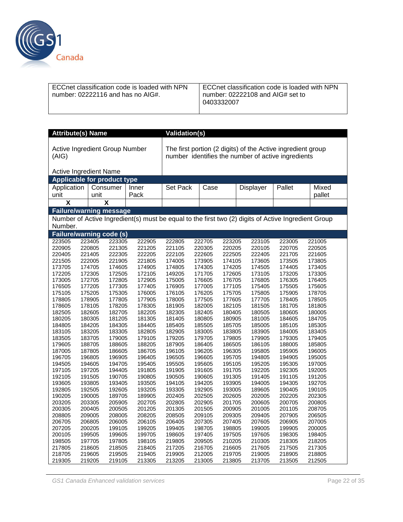

| ECCnet classification code is loaded with NPN<br>number: $02222116$ and has no AIG#. | ECCnet classification code is loaded with NPN<br>number: 02222108 and AIG# set to<br>0403332007 |
|--------------------------------------------------------------------------------------|-------------------------------------------------------------------------------------------------|
|--------------------------------------------------------------------------------------|-------------------------------------------------------------------------------------------------|

| <b>Attribute(s) Name</b>                                                                                       | <b>Validation(s)</b>                  |        |          |        |        |                                                                                                                   |        |        |  |  |
|----------------------------------------------------------------------------------------------------------------|---------------------------------------|--------|----------|--------|--------|-------------------------------------------------------------------------------------------------------------------|--------|--------|--|--|
| (AIG)                                                                                                          | <b>Active Ingredient Group Number</b> |        |          |        |        | The first portion (2 digits) of the Active ingredient group<br>number identifies the number of active ingredients |        |        |  |  |
|                                                                                                                | <b>Active Ingredient Name</b>         |        |          |        |        |                                                                                                                   |        |        |  |  |
|                                                                                                                | <b>Applicable for product type</b>    |        |          |        |        |                                                                                                                   |        |        |  |  |
| Application                                                                                                    | Consumer                              | Inner  | Set Pack | Case   |        | Displayer                                                                                                         | Pallet | Mixed  |  |  |
| unit                                                                                                           | unit                                  | Pack   |          |        |        |                                                                                                                   |        | pallet |  |  |
| $\overline{\textsf{x}}$                                                                                        | $\overline{\textbf{x}}$               |        |          |        |        |                                                                                                                   |        |        |  |  |
|                                                                                                                | <b>Failure/warning message</b>        |        |          |        |        |                                                                                                                   |        |        |  |  |
|                                                                                                                |                                       |        |          |        |        |                                                                                                                   |        |        |  |  |
| Number of Active Ingredient(s) must be equal to the first two (2) digits of Active Ingredient Group<br>Number. |                                       |        |          |        |        |                                                                                                                   |        |        |  |  |
|                                                                                                                | <b>Failure/warning code (s)</b>       |        |          |        |        |                                                                                                                   |        |        |  |  |
| 223505                                                                                                         | 223305<br>223405                      | 222905 | 222805   | 222705 | 223205 | 223105                                                                                                            | 223005 | 221005 |  |  |
| 220905                                                                                                         | 220805<br>221305                      | 221205 | 221105   | 220305 | 220205 | 220105                                                                                                            | 220705 | 220505 |  |  |
| 220405                                                                                                         | 221405<br>222305                      | 222205 | 222105   | 222605 | 222505 | 222405                                                                                                            | 221705 | 221605 |  |  |
| 221505                                                                                                         | 222005<br>221905                      | 221805 | 174005   | 173905 | 174105 | 173605                                                                                                            | 173505 | 173805 |  |  |
| 173705                                                                                                         | 174705<br>174605                      | 174905 | 174805   | 174305 | 174205 | 174505                                                                                                            | 174405 | 173405 |  |  |
| 172205                                                                                                         | 172305<br>172505                      | 172105 | 149205   | 171705 | 172605 | 173105                                                                                                            | 173205 | 173305 |  |  |
| 173005                                                                                                         | 172705<br>172805                      | 172905 | 175005   | 176605 | 176705 | 176805                                                                                                            | 176305 | 176405 |  |  |
| 176505                                                                                                         | 177205<br>177305                      | 177405 | 176905   | 177005 | 177105 | 175405                                                                                                            | 175505 | 175605 |  |  |
| 175105                                                                                                         | 175205<br>175305                      | 176005 | 176105   | 176205 | 175705 | 175805                                                                                                            | 175905 | 178705 |  |  |
| 178805                                                                                                         | 178905<br>177805                      | 177905 | 178005   | 177505 | 177605 | 177705                                                                                                            | 178405 | 178505 |  |  |
| 178605                                                                                                         | 178105<br>178205                      | 178305 | 181905   | 182005 | 182105 | 181505                                                                                                            | 181705 | 181805 |  |  |
| 182505                                                                                                         | 182605<br>182705                      | 182205 | 182305   | 182405 | 180405 | 180505                                                                                                            | 180605 | 180005 |  |  |
| 180205                                                                                                         | 180305<br>181205                      | 181305 | 181405   | 180805 | 180905 | 181005                                                                                                            | 184605 | 184705 |  |  |
| 184805                                                                                                         | 184205<br>184305                      | 184405 | 185405   | 185505 | 185705 | 185005                                                                                                            | 185105 | 185305 |  |  |
| 183105                                                                                                         | 183205<br>183305                      | 182805 | 182905   | 183005 | 183805 | 183905                                                                                                            | 184005 | 183405 |  |  |
| 183505                                                                                                         | 183705<br>179005                      | 179105 | 179205   | 179705 | 179805 | 179905                                                                                                            | 179305 | 179405 |  |  |
| 179605                                                                                                         | 188705<br>188605                      | 188205 | 187905   | 186405 | 186505 | 186105                                                                                                            | 188005 | 185805 |  |  |
| 187005                                                                                                         | 187805<br>186605                      | 186705 | 196105   | 196205 | 196305 | 195805                                                                                                            | 195905 | 196005 |  |  |
| 196705                                                                                                         | 196805<br>196905                      | 196405 | 196505   | 196605 | 195705 | 194805                                                                                                            | 194905 | 195005 |  |  |
| 194505                                                                                                         | 194605<br>194705                      | 195405 | 195505   | 195605 | 195105 | 195205                                                                                                            | 195305 | 197005 |  |  |
| 197105                                                                                                         | 197205<br>194405                      | 191805 | 191905   | 191605 | 191705 | 192205                                                                                                            | 192305 | 192005 |  |  |
| 192105                                                                                                         | 191505<br>190705                      | 190805 | 190505   | 190605 | 191305 | 191405                                                                                                            | 191105 | 191205 |  |  |
| 193605                                                                                                         | 193805<br>193405                      | 193505 | 194105   | 194205 | 193905 | 194005                                                                                                            | 194305 | 192705 |  |  |
| 192805                                                                                                         | 192505<br>192605                      | 193205 | 193305   | 192905 | 193005 | 189605                                                                                                            | 190405 | 190105 |  |  |
| 190205                                                                                                         | 190005<br>189705                      | 189905 | 202405   | 202505 | 202605 | 202005                                                                                                            | 202205 | 202305 |  |  |
| 203205                                                                                                         | 203305<br>205905                      | 202705 | 202805   | 202905 | 201705 | 200605                                                                                                            | 200705 | 200805 |  |  |
| 200305                                                                                                         | 200405<br>200505                      | 201205 | 201305   | 201505 | 200905 | 201005                                                                                                            | 201105 | 208705 |  |  |
| 208805                                                                                                         | 209005<br>208005                      | 208205 | 208505   | 209105 | 209305 | 209405                                                                                                            | 207905 | 206505 |  |  |
| 206705                                                                                                         | 206805<br>206005                      | 206105 | 206405   | 207305 | 207405 | 207605                                                                                                            | 206905 | 207005 |  |  |
| 207205                                                                                                         | 200205<br>199105                      | 199205 | 199405   | 198705 | 198805 | 199005                                                                                                            | 199905 | 200005 |  |  |
| 200105                                                                                                         | 199505<br>199605                      | 199705 | 198605   | 197405 | 197505 | 197605                                                                                                            | 198305 | 198405 |  |  |
| 198505                                                                                                         | 197705<br>197805                      | 198105 | 219805   | 209505 | 210205 | 210305                                                                                                            | 218305 | 218205 |  |  |
| 217805                                                                                                         | 218605<br>218505                      | 218405 | 217205   | 216705 | 216605 | 217605                                                                                                            | 217505 | 217305 |  |  |
| 218705                                                                                                         | 219605<br>219505                      | 219405 | 219905   | 212005 | 219705 | 219005                                                                                                            | 218905 | 218805 |  |  |
| 219305                                                                                                         | 219205<br>219105                      | 213305 | 213205   | 213005 | 213805 | 213705                                                                                                            | 213505 | 212505 |  |  |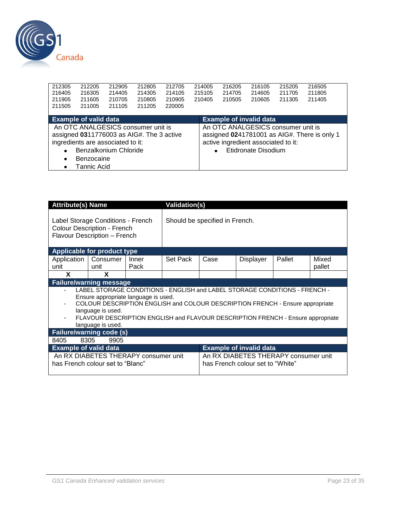

| 212305<br>212205<br>216405<br>216305 | 212905<br>214405                                                                                                                                            | 212805<br>214305 | 212705<br>214105 | 214005<br>215105 | 216205<br>214705 | 216105<br>214605               | 215205<br>211705                                                                                 | 216505<br>211805                             |  |
|--------------------------------------|-------------------------------------------------------------------------------------------------------------------------------------------------------------|------------------|------------------|------------------|------------------|--------------------------------|--------------------------------------------------------------------------------------------------|----------------------------------------------|--|
| 211905<br>211605                     | 210705                                                                                                                                                      | 210805           | 210905           | 210405           | 210505           | 210605                         | 211305                                                                                           | 211405                                       |  |
| 211505<br>211005                     | 211105                                                                                                                                                      | 211205           | 220005           |                  |                  |                                |                                                                                                  |                                              |  |
| <b>Example of valid data</b>         |                                                                                                                                                             |                  |                  |                  |                  | <b>Example of invalid data</b> |                                                                                                  |                                              |  |
| ٠<br>٠<br>Tannic Acid                | An OTC ANALGESICS consumer unit is<br>assigned 0311776003 as AIG#. The 3 active<br>ingredients are associated to it:<br>Benzalkonium Chloride<br>Benzocaine |                  |                  |                  |                  |                                | An OTC ANALGESICS consumer unit is<br>active ingredient associated to it:<br>Etidronate Disodium | assigned 0241781001 as AIG#. There is only 1 |  |

| <b>Attribute(s) Name</b>                                                                                                                                                                                                                                                                                                         |                                                                                                         |               | <b>Validation(s)</b> |                                |                                                                          |        |                 |  |  |
|----------------------------------------------------------------------------------------------------------------------------------------------------------------------------------------------------------------------------------------------------------------------------------------------------------------------------------|---------------------------------------------------------------------------------------------------------|---------------|----------------------|--------------------------------|--------------------------------------------------------------------------|--------|-----------------|--|--|
|                                                                                                                                                                                                                                                                                                                                  | Label Storage Conditions - French<br><b>Colour Description - French</b><br>Flavour Description - French |               |                      | Should be specified in French. |                                                                          |        |                 |  |  |
|                                                                                                                                                                                                                                                                                                                                  | Applicable for product type                                                                             |               |                      |                                |                                                                          |        |                 |  |  |
| Application  <br>unit                                                                                                                                                                                                                                                                                                            | Consumer<br>unit                                                                                        | Inner<br>Pack | Set Pack             | Case                           | Displayer                                                                | Pallet | Mixed<br>pallet |  |  |
| X                                                                                                                                                                                                                                                                                                                                | X                                                                                                       |               |                      |                                |                                                                          |        |                 |  |  |
|                                                                                                                                                                                                                                                                                                                                  | <b>Failure/warning message</b>                                                                          |               |                      |                                |                                                                          |        |                 |  |  |
| LABEL STORAGE CONDITIONS - ENGLISH and LABEL STORAGE CONDITIONS - FRENCH -<br>Ensure appropriate language is used.<br>COLOUR DESCRIPTION ENGLISH and COLOUR DESCRIPTION FRENCH - Ensure appropriate<br>language is used.<br>FLAVOUR DESCRIPTION ENGLISH and FLAVOUR DESCRIPTION FRENCH - Ensure appropriate<br>language is used. |                                                                                                         |               |                      |                                |                                                                          |        |                 |  |  |
|                                                                                                                                                                                                                                                                                                                                  | <b>Failure/warning code (s)</b>                                                                         |               |                      |                                |                                                                          |        |                 |  |  |
| 8405                                                                                                                                                                                                                                                                                                                             | 8305<br>9905                                                                                            |               |                      |                                |                                                                          |        |                 |  |  |
| <b>Example of valid data</b><br><b>Example of invalid data</b>                                                                                                                                                                                                                                                                   |                                                                                                         |               |                      |                                |                                                                          |        |                 |  |  |
|                                                                                                                                                                                                                                                                                                                                  | An RX DIABETES THERAPY consumer unit<br>has French colour set to "Blanc"                                |               |                      |                                | An RX DIABETES THERAPY consumer unit<br>has French colour set to "White" |        |                 |  |  |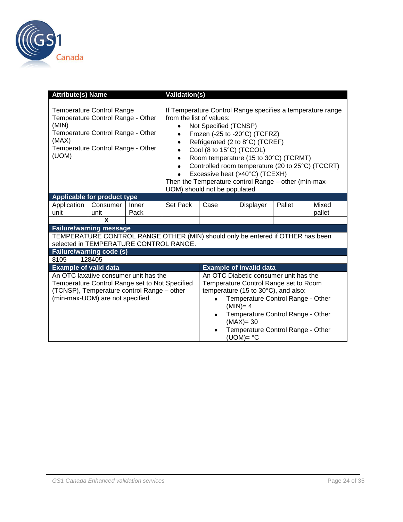

| <b>Attribute(s) Name</b>                                                                                                                                                                                              |                                                                                                                                                                           |               | <b>Validation(s)</b>                                       |                                                                                                                                                                                                                                                                                                                                                                                                                                        |                                                                                |  |  |  |  |
|-----------------------------------------------------------------------------------------------------------------------------------------------------------------------------------------------------------------------|---------------------------------------------------------------------------------------------------------------------------------------------------------------------------|---------------|------------------------------------------------------------|----------------------------------------------------------------------------------------------------------------------------------------------------------------------------------------------------------------------------------------------------------------------------------------------------------------------------------------------------------------------------------------------------------------------------------------|--------------------------------------------------------------------------------|--|--|--|--|
| <b>Temperature Control Range</b><br>Temperature Control Range - Other<br>(MIN)<br>Temperature Control Range - Other<br>(MAX)<br>Temperature Control Range - Other<br>(UOM)<br>٠<br><b>Applicable for product type</b> |                                                                                                                                                                           |               |                                                            | If Temperature Control Range specifies a temperature range<br>from the list of values:<br>Not Specified (TCNSP)<br>Frozen (-25 to -20°C) (TCFRZ)<br>Refrigerated (2 to 8°C) (TCREF)<br>Cool (8 to 15°C) (TCCOL)<br>Room temperature (15 to 30°C) (TCRMT)<br>Controlled room temperature (20 to 25°C) (TCCRT)<br>Excessive heat (>40°C) (TCEXH)<br>Then the Temperature control Range - other (min-max-<br>UOM) should not be populated |                                                                                |  |  |  |  |
|                                                                                                                                                                                                                       |                                                                                                                                                                           |               |                                                            |                                                                                                                                                                                                                                                                                                                                                                                                                                        |                                                                                |  |  |  |  |
| Application<br>unit                                                                                                                                                                                                   | Consumer<br>unit                                                                                                                                                          | Inner<br>Pack | Set Pack<br>Pallet<br>Mixed<br>Case<br>Displayer<br>pallet |                                                                                                                                                                                                                                                                                                                                                                                                                                        |                                                                                |  |  |  |  |
|                                                                                                                                                                                                                       | X                                                                                                                                                                         |               |                                                            |                                                                                                                                                                                                                                                                                                                                                                                                                                        |                                                                                |  |  |  |  |
|                                                                                                                                                                                                                       | <b>Failure/warning message</b>                                                                                                                                            |               |                                                            |                                                                                                                                                                                                                                                                                                                                                                                                                                        |                                                                                |  |  |  |  |
|                                                                                                                                                                                                                       | selected in TEMPERATURE CONTROL RANGE.                                                                                                                                    |               |                                                            |                                                                                                                                                                                                                                                                                                                                                                                                                                        | TEMPERATURE CONTROL RANGE OTHER (MIN) should only be entered if OTHER has been |  |  |  |  |
|                                                                                                                                                                                                                       | <b>Failure/warning code (s)</b>                                                                                                                                           |               |                                                            |                                                                                                                                                                                                                                                                                                                                                                                                                                        |                                                                                |  |  |  |  |
| 8105                                                                                                                                                                                                                  | 128405                                                                                                                                                                    |               |                                                            |                                                                                                                                                                                                                                                                                                                                                                                                                                        |                                                                                |  |  |  |  |
| <b>Example of valid data</b>                                                                                                                                                                                          |                                                                                                                                                                           |               |                                                            |                                                                                                                                                                                                                                                                                                                                                                                                                                        | <b>Example of invalid data</b>                                                 |  |  |  |  |
|                                                                                                                                                                                                                       | An OTC laxative consumer unit has the<br>Temperature Control Range set to Not Specified<br>(TCNSP), Temperature control Range - other<br>(min-max-UOM) are not specified. |               |                                                            | An OTC Diabetic consumer unit has the<br>Temperature Control Range set to Room<br>temperature (15 to 30°C), and also:<br>Temperature Control Range - Other<br>$(MIN)=4$<br>Temperature Control Range - Other<br>$(MAX)=30$<br>Temperature Control Range - Other<br>$(UOM)=$ °C                                                                                                                                                         |                                                                                |  |  |  |  |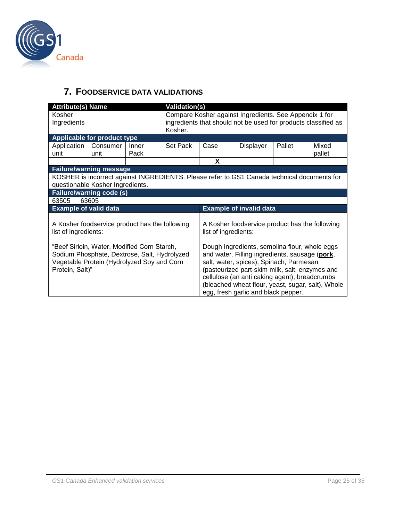

### <span id="page-24-0"></span>**7. FOODSERVICE DATA VALIDATIONS**

| <b>Attribute(s) Name</b>                   |                                                |       | <b>Validation(s)</b>                                           |                                                        |                                     |                                                                                             |        |  |  |  |
|--------------------------------------------|------------------------------------------------|-------|----------------------------------------------------------------|--------------------------------------------------------|-------------------------------------|---------------------------------------------------------------------------------------------|--------|--|--|--|
| Kosher                                     |                                                |       |                                                                | Compare Kosher against Ingredients. See Appendix 1 for |                                     |                                                                                             |        |  |  |  |
| Ingredients                                |                                                |       | ingredients that should not be used for products classified as |                                                        |                                     |                                                                                             |        |  |  |  |
|                                            |                                                |       | Kosher.                                                        |                                                        |                                     |                                                                                             |        |  |  |  |
| Applicable for product type                |                                                |       |                                                                |                                                        |                                     |                                                                                             |        |  |  |  |
| Application                                | Consumer                                       | Inner | Set Pack                                                       | Case                                                   | Displayer                           | Pallet                                                                                      | Mixed  |  |  |  |
| unit                                       | unit                                           | Pack  |                                                                |                                                        |                                     |                                                                                             | pallet |  |  |  |
|                                            |                                                |       |                                                                | X                                                      |                                     |                                                                                             |        |  |  |  |
| <b>Failure/warning message</b>             |                                                |       |                                                                |                                                        |                                     |                                                                                             |        |  |  |  |
|                                            |                                                |       |                                                                |                                                        |                                     | KOSHER is incorrect against INGREDIENTS. Please refer to GS1 Canada technical documents for |        |  |  |  |
|                                            | questionable Kosher Ingredients.               |       |                                                                |                                                        |                                     |                                                                                             |        |  |  |  |
| <b>Failure/warning code (s)</b>            |                                                |       |                                                                |                                                        |                                     |                                                                                             |        |  |  |  |
| 63505                                      | 63605                                          |       |                                                                |                                                        |                                     |                                                                                             |        |  |  |  |
| <b>Example of valid data</b>               |                                                |       |                                                                |                                                        | <b>Example of invalid data</b>      |                                                                                             |        |  |  |  |
|                                            |                                                |       |                                                                |                                                        |                                     |                                                                                             |        |  |  |  |
|                                            | A Kosher foodservice product has the following |       |                                                                | A Kosher foodservice product has the following         |                                     |                                                                                             |        |  |  |  |
| list of ingredients:                       |                                                |       |                                                                | list of ingredients:                                   |                                     |                                                                                             |        |  |  |  |
|                                            |                                                |       |                                                                |                                                        |                                     |                                                                                             |        |  |  |  |
|                                            | "Beef Sirloin, Water, Modified Corn Starch,    |       |                                                                | Dough Ingredients, semolina flour, whole eggs          |                                     |                                                                                             |        |  |  |  |
|                                            | Sodium Phosphate, Dextrose, Salt, Hydrolyzed   |       |                                                                |                                                        |                                     | and water. Filling ingredients, sausage (pork,                                              |        |  |  |  |
| Vegetable Protein (Hydrolyzed Soy and Corn |                                                |       |                                                                |                                                        |                                     | salt, water, spices), Spinach, Parmesan                                                     |        |  |  |  |
| Protein, Salt)"                            |                                                |       |                                                                |                                                        |                                     | (pasteurized part-skim milk, salt, enzymes and                                              |        |  |  |  |
|                                            |                                                |       |                                                                |                                                        |                                     | cellulose (an anti caking agent), breadcrumbs                                               |        |  |  |  |
|                                            |                                                |       |                                                                |                                                        |                                     | (bleached wheat flour, yeast, sugar, salt), Whole                                           |        |  |  |  |
|                                            |                                                |       |                                                                |                                                        | egg, fresh garlic and black pepper. |                                                                                             |        |  |  |  |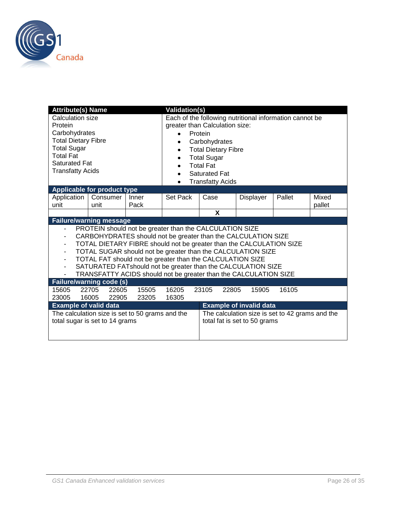

| <b>Attribute(s) Name</b>                                                                                                                                             |                                                                                                                                                                                                                                                                                                                                                                                                                                                                 |                                                         | <b>Validation(s)</b> |      |                              |        |                 |  |
|----------------------------------------------------------------------------------------------------------------------------------------------------------------------|-----------------------------------------------------------------------------------------------------------------------------------------------------------------------------------------------------------------------------------------------------------------------------------------------------------------------------------------------------------------------------------------------------------------------------------------------------------------|---------------------------------------------------------|----------------------|------|------------------------------|--------|-----------------|--|
| Calculation size<br>Protein<br>Carbohydrates<br><b>Total Dietary Fibre</b><br><b>Total Sugar</b><br>Total Fat<br><b>Saturated Fat</b><br><b>Transfatty Acids</b>     | greater than Calculation size:<br>Protein<br>Carbohydrates<br><b>Total Dietary Fibre</b><br><b>Total Sugar</b><br><b>Total Fat</b><br><b>Saturated Fat</b><br><b>Transfatty Acids</b>                                                                                                                                                                                                                                                                           | Each of the following nutritional information cannot be |                      |      |                              |        |                 |  |
|                                                                                                                                                                      | Applicable for product type                                                                                                                                                                                                                                                                                                                                                                                                                                     |                                                         |                      |      |                              |        |                 |  |
| Application<br>unit                                                                                                                                                  | Consumer<br>unit                                                                                                                                                                                                                                                                                                                                                                                                                                                | Inner<br>Pack                                           | Set Pack             | Case | <b>Displayer</b>             | Pallet | Mixed<br>pallet |  |
|                                                                                                                                                                      |                                                                                                                                                                                                                                                                                                                                                                                                                                                                 |                                                         |                      | X    |                              |        |                 |  |
|                                                                                                                                                                      | <b>Failure/warning message</b>                                                                                                                                                                                                                                                                                                                                                                                                                                  |                                                         |                      |      |                              |        |                 |  |
| -<br>٠<br>٠<br>٠<br>$\overline{\phantom{0}}$<br>$\overline{\phantom{0}}$                                                                                             | PROTEIN should not be greater than the CALCULATION SIZE<br>CARBOHYDRATES should not be greater than the CALCULATION SIZE<br>TOTAL DIETARY FIBRE should not be greater than the CALCULATION SIZE<br>TOTAL SUGAR should not be greater than the CALCULATION SIZE<br>TOTAL FAT should not be greater than the CALCULATION SIZE<br>SATURATED FATshould not be greater than the CALCULATION SIZE<br>TRANSFATTY ACIDS should not be greater than the CALCULATION SIZE |                                                         |                      |      |                              |        |                 |  |
|                                                                                                                                                                      | <b>Failure/warning code (s)</b>                                                                                                                                                                                                                                                                                                                                                                                                                                 |                                                         |                      |      |                              |        |                 |  |
| 15605<br>22705<br>22605<br>15505<br>16205<br>22805<br>16105<br>23105<br>15905<br>16005<br>22905<br>23205<br>16305<br>23005                                           |                                                                                                                                                                                                                                                                                                                                                                                                                                                                 |                                                         |                      |      |                              |        |                 |  |
| <b>Example of valid data</b><br><b>Example of invalid data</b><br>The calculation size is set to 50 grams and the<br>The calculation size is set to 42 grams and the |                                                                                                                                                                                                                                                                                                                                                                                                                                                                 |                                                         |                      |      |                              |        |                 |  |
|                                                                                                                                                                      | total sugar is set to 14 grams                                                                                                                                                                                                                                                                                                                                                                                                                                  |                                                         |                      |      | total fat is set to 50 grams |        |                 |  |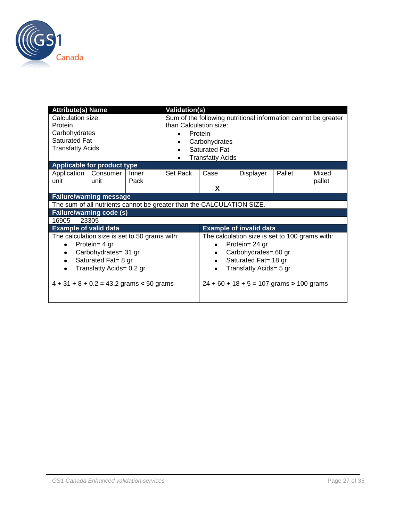

| <b>Attribute(s) Name</b><br><b>Validation(s)</b>                                                                          |                                                                                                                                                                                         |               |                                                                       |                                                                             |                                                                                                                                                                                          |        |                 |  |
|---------------------------------------------------------------------------------------------------------------------------|-----------------------------------------------------------------------------------------------------------------------------------------------------------------------------------------|---------------|-----------------------------------------------------------------------|-----------------------------------------------------------------------------|------------------------------------------------------------------------------------------------------------------------------------------------------------------------------------------|--------|-----------------|--|
| Calculation size<br>than Calculation size:<br>Protein<br>Carbohydrates<br><b>Saturated Fat</b><br><b>Transfatty Acids</b> |                                                                                                                                                                                         |               |                                                                       | Protein<br>Carbohydrates<br><b>Saturated Fat</b><br><b>Transfatty Acids</b> | Sum of the following nutritional information cannot be greater                                                                                                                           |        |                 |  |
| Applicable for product type                                                                                               |                                                                                                                                                                                         |               |                                                                       |                                                                             |                                                                                                                                                                                          |        |                 |  |
| Application<br>unit                                                                                                       | Consumer<br>unit                                                                                                                                                                        | Inner<br>Pack | Set Pack                                                              | Case                                                                        | Displayer                                                                                                                                                                                | Pallet | Mixed<br>pallet |  |
|                                                                                                                           |                                                                                                                                                                                         |               |                                                                       | X                                                                           |                                                                                                                                                                                          |        |                 |  |
| <b>Failure/warning message</b>                                                                                            |                                                                                                                                                                                         |               |                                                                       |                                                                             |                                                                                                                                                                                          |        |                 |  |
|                                                                                                                           |                                                                                                                                                                                         |               | The sum of all nutrients cannot be greater than the CALCULATION SIZE. |                                                                             |                                                                                                                                                                                          |        |                 |  |
| <b>Failure/warning code (s)</b>                                                                                           |                                                                                                                                                                                         |               |                                                                       |                                                                             |                                                                                                                                                                                          |        |                 |  |
| 16905                                                                                                                     | 23305                                                                                                                                                                                   |               |                                                                       |                                                                             |                                                                                                                                                                                          |        |                 |  |
| <b>Example of valid data</b>                                                                                              |                                                                                                                                                                                         |               |                                                                       | <b>Example of invalid data</b>                                              |                                                                                                                                                                                          |        |                 |  |
| ٠<br>٠<br>$\bullet$                                                                                                       | The calculation size is set to 50 grams with:<br>Protein= 4 gr<br>Carbohydrates= 31 gr<br>Saturated Fat= 8 gr<br>Transfatty Acids= 0.2 gr<br>$4 + 31 + 8 + 0.2 = 43.2$ grams < 50 grams |               |                                                                       | $\bullet$                                                                   | The calculation size is set to 100 grams with:<br>Protein= 24 gr<br>Carbohydrates= 60 gr<br>Saturated Fat= 18 gr<br>Transfatty Acids= 5 gr<br>$24 + 60 + 18 + 5 = 107$ grams > 100 grams |        |                 |  |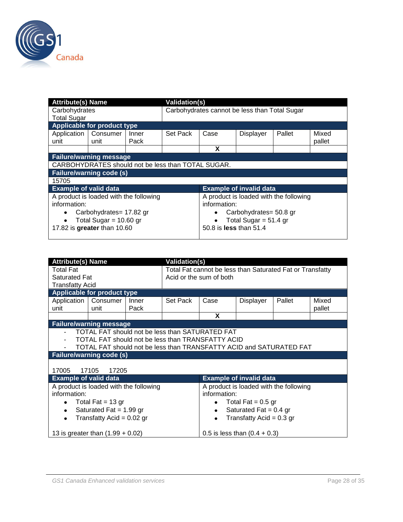

| <b>Attribute(s) Name</b>           |                                                                                    |               |          | <b>Validation(s)</b>                                                               |                                |        |                 |  |  |
|------------------------------------|------------------------------------------------------------------------------------|---------------|----------|------------------------------------------------------------------------------------|--------------------------------|--------|-----------------|--|--|
| Carbohydrates                      |                                                                                    |               |          | Carbohydrates cannot be less than Total Sugar                                      |                                |        |                 |  |  |
| <b>Total Sugar</b>                 |                                                                                    |               |          |                                                                                    |                                |        |                 |  |  |
| <b>Applicable for product type</b> |                                                                                    |               |          |                                                                                    |                                |        |                 |  |  |
| Application<br>unit                | Consumer<br>unit                                                                   | Inner<br>Pack | Set Pack | Case                                                                               | <b>Displayer</b>               | Pallet | Mixed<br>pallet |  |  |
|                                    |                                                                                    |               |          | X                                                                                  |                                |        |                 |  |  |
| <b>Failure/warning message</b>     |                                                                                    |               |          |                                                                                    |                                |        |                 |  |  |
|                                    | CARBOHYDRATES should not be less than TOTAL SUGAR.                                 |               |          |                                                                                    |                                |        |                 |  |  |
| <b>Failure/warning code (s)</b>    |                                                                                    |               |          |                                                                                    |                                |        |                 |  |  |
| 15705                              |                                                                                    |               |          |                                                                                    |                                |        |                 |  |  |
| <b>Example of valid data</b>       |                                                                                    |               |          |                                                                                    | <b>Example of invalid data</b> |        |                 |  |  |
| information:                       | A product is loaded with the following                                             |               |          | A product is loaded with the following<br>information:                             |                                |        |                 |  |  |
| ٠                                  | Carbohydrates= 17.82 gr<br>Total Sugar = $10.60$ gr<br>17.82 is greater than 10.60 |               |          | Carbohydrates= 50.8 gr<br>Total Sugar = $51.4$ gr<br>50.8 is <b>less</b> than 51.4 |                                |        |                 |  |  |
|                                    |                                                                                    |               |          |                                                                                    |                                |        |                 |  |  |

| <b>Attribute(s) Name</b>                                                                                                                                                    |                                        |               | <b>Validation(s)</b>    |                                                           |                                        |        |                 |  |  |
|-----------------------------------------------------------------------------------------------------------------------------------------------------------------------------|----------------------------------------|---------------|-------------------------|-----------------------------------------------------------|----------------------------------------|--------|-----------------|--|--|
| <b>Total Fat</b><br><b>Saturated Fat</b>                                                                                                                                    |                                        |               | Acid or the sum of both | Total Fat cannot be less than Saturated Fat or Transfatty |                                        |        |                 |  |  |
| <b>Transfatty Acid</b>                                                                                                                                                      |                                        |               |                         |                                                           |                                        |        |                 |  |  |
|                                                                                                                                                                             | <b>Applicable for product type</b>     |               |                         |                                                           |                                        |        |                 |  |  |
| Application   Consumer<br>unit                                                                                                                                              | unit                                   | Inner<br>Pack | Set Pack                | Case                                                      | Displayer                              | Pallet | Mixed<br>pallet |  |  |
|                                                                                                                                                                             |                                        |               |                         | X                                                         |                                        |        |                 |  |  |
|                                                                                                                                                                             | <b>Failure/warning message</b>         |               |                         |                                                           |                                        |        |                 |  |  |
| TOTAL FAT should not be less than SATURATED FAT<br>TOTAL FAT should not be less than TRANSFATTY ACID<br>TOTAL FAT should not be less than TRANSFATTY ACID and SATURATED FAT |                                        |               |                         |                                                           |                                        |        |                 |  |  |
|                                                                                                                                                                             | <b>Failure/warning code (s)</b>        |               |                         |                                                           |                                        |        |                 |  |  |
| 17005                                                                                                                                                                       | 17105<br>17205                         |               |                         |                                                           |                                        |        |                 |  |  |
| <b>Example of valid data</b>                                                                                                                                                |                                        |               |                         |                                                           | <b>Example of invalid data</b>         |        |                 |  |  |
| information:                                                                                                                                                                | A product is loaded with the following |               |                         | information:                                              | A product is loaded with the following |        |                 |  |  |
| ٠                                                                                                                                                                           | Total Fat = $13$ gr                    |               |                         |                                                           | Total Fat $= 0.5$ gr                   |        |                 |  |  |
| Saturated Fat = $1.99$ gr<br>Saturated Fat = $0.4$ gr<br>$\bullet$<br>$\bullet$                                                                                             |                                        |               |                         |                                                           |                                        |        |                 |  |  |
| $\bullet$                                                                                                                                                                   | Transfatty Acid = $0.02$ gr            |               |                         | $\bullet$                                                 | Transfatty Acid = $0.3$ gr             |        |                 |  |  |
|                                                                                                                                                                             | 13 is greater than $(1.99 + 0.02)$     |               |                         |                                                           | 0.5 is less than $(0.4 + 0.3)$         |        |                 |  |  |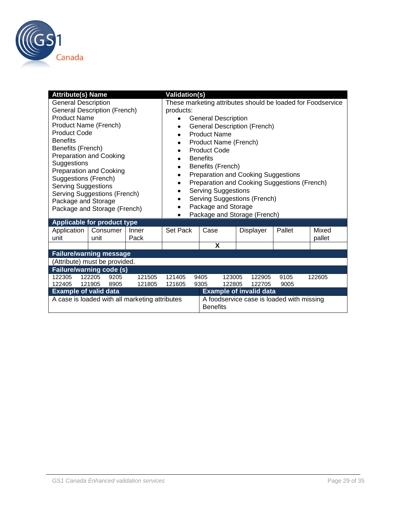

| <b>Attribute(s) Name</b>                                                                   |                                                | <b>Validation(s)</b> |                            |                                                                            |  |                                           |        |                                                             |  |  |
|--------------------------------------------------------------------------------------------|------------------------------------------------|----------------------|----------------------------|----------------------------------------------------------------------------|--|-------------------------------------------|--------|-------------------------------------------------------------|--|--|
| <b>General Description</b>                                                                 |                                                |                      |                            |                                                                            |  |                                           |        | These marketing attributes should be loaded for Foodservice |  |  |
|                                                                                            | <b>General Description (French)</b>            |                      | products:                  |                                                                            |  |                                           |        |                                                             |  |  |
| <b>Product Name</b>                                                                        |                                                |                      | <b>General Description</b> |                                                                            |  |                                           |        |                                                             |  |  |
|                                                                                            | Product Name (French)                          |                      |                            |                                                                            |  | <b>General Description (French)</b>       |        |                                                             |  |  |
| <b>Product Code</b>                                                                        |                                                |                      | $\bullet$                  | <b>Product Name</b>                                                        |  |                                           |        |                                                             |  |  |
| <b>Benefits</b>                                                                            |                                                |                      | Product Name (French)      |                                                                            |  |                                           |        |                                                             |  |  |
| Benefits (French)                                                                          |                                                |                      |                            | <b>Product Code</b>                                                        |  |                                           |        |                                                             |  |  |
|                                                                                            | <b>Preparation and Cooking</b>                 |                      |                            | <b>Benefits</b>                                                            |  |                                           |        |                                                             |  |  |
| Suggestions                                                                                |                                                | $\bullet$            | Benefits (French)          |                                                                            |  |                                           |        |                                                             |  |  |
| <b>Preparation and Cooking</b>                                                             |                                                |                      |                            | <b>Preparation and Cooking Suggestions</b>                                 |  |                                           |        |                                                             |  |  |
| Suggestions (French)                                                                       |                                                |                      | ٠                          |                                                                            |  |                                           |        |                                                             |  |  |
| <b>Serving Suggestions</b>                                                                 |                                                |                      |                            | Preparation and Cooking Suggestions (French)<br><b>Serving Suggestions</b> |  |                                           |        |                                                             |  |  |
|                                                                                            | Serving Suggestions (French)                   |                      | ٠                          | Serving Suggestions (French)                                               |  |                                           |        |                                                             |  |  |
| Package and Storage                                                                        | Package and Storage (French)                   |                      |                            | Package and Storage                                                        |  |                                           |        |                                                             |  |  |
|                                                                                            |                                                |                      | $\bullet$                  |                                                                            |  | Package and Storage (French)              |        |                                                             |  |  |
|                                                                                            | Applicable for product type                    |                      |                            |                                                                            |  |                                           |        |                                                             |  |  |
| Application                                                                                | Consumer                                       | Inner                | Set Pack                   | Case                                                                       |  | Displayer                                 | Pallet | Mixed                                                       |  |  |
| unit                                                                                       | unit                                           | Pack                 |                            |                                                                            |  |                                           |        | pallet                                                      |  |  |
|                                                                                            |                                                |                      |                            | X                                                                          |  |                                           |        |                                                             |  |  |
|                                                                                            | <b>Failure/warning message</b>                 |                      |                            |                                                                            |  |                                           |        |                                                             |  |  |
|                                                                                            | (Attribute) must be provided.                  |                      |                            |                                                                            |  |                                           |        |                                                             |  |  |
|                                                                                            | Failure/warning code (s)                       |                      |                            |                                                                            |  |                                           |        |                                                             |  |  |
| 122205<br>121505<br>122305<br>9205<br>121405<br>9405<br>123005<br>122905<br>9105<br>122605 |                                                |                      |                            |                                                                            |  |                                           |        |                                                             |  |  |
| 122405<br>121905                                                                           | 9305                                           | 122805               | 122705                     | 9005                                                                       |  |                                           |        |                                                             |  |  |
| <b>Example of valid data</b>                                                               |                                                |                      |                            | <b>Example of invalid data</b>                                             |  |                                           |        |                                                             |  |  |
|                                                                                            | A case is loaded with all marketing attributes |                      |                            | <b>Benefits</b>                                                            |  | A foodservice case is loaded with missing |        |                                                             |  |  |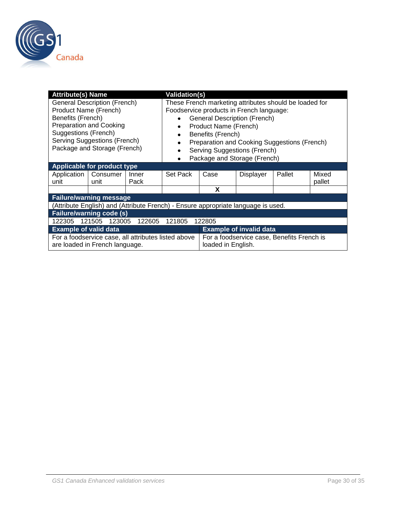

| <b>Attribute(s) Name</b>                                           |                                                                                                                                              |               | <b>Validation(s)</b>                                                              |                                                                                                                                                                                                                                                                                                         |                                            |        |                 |  |  |
|--------------------------------------------------------------------|----------------------------------------------------------------------------------------------------------------------------------------------|---------------|-----------------------------------------------------------------------------------|---------------------------------------------------------------------------------------------------------------------------------------------------------------------------------------------------------------------------------------------------------------------------------------------------------|--------------------------------------------|--------|-----------------|--|--|
| Product Name (French)<br>Benefits (French)<br>Suggestions (French) | <b>General Description (French)</b><br><b>Preparation and Cooking</b><br><b>Serving Suggestions (French)</b><br>Package and Storage (French) |               |                                                                                   | These French marketing attributes should be loaded for<br>Foodservice products in French language:<br><b>General Description (French)</b><br>Product Name (French)<br>Benefits (French)<br>Preparation and Cooking Suggestions (French)<br>Serving Suggestions (French)<br>Package and Storage (French) |                                            |        |                 |  |  |
|                                                                    | Applicable for product type                                                                                                                  |               |                                                                                   |                                                                                                                                                                                                                                                                                                         |                                            |        |                 |  |  |
| Application<br>unit                                                | Consumer<br>unit                                                                                                                             | Inner<br>Pack | Set Pack                                                                          | Case                                                                                                                                                                                                                                                                                                    | <b>Displayer</b>                           | Pallet | Mixed<br>pallet |  |  |
|                                                                    |                                                                                                                                              |               |                                                                                   | X                                                                                                                                                                                                                                                                                                       |                                            |        |                 |  |  |
| <b>Failure/warning message</b>                                     |                                                                                                                                              |               |                                                                                   |                                                                                                                                                                                                                                                                                                         |                                            |        |                 |  |  |
|                                                                    |                                                                                                                                              |               | (Attribute English) and (Attribute French) - Ensure appropriate language is used. |                                                                                                                                                                                                                                                                                                         |                                            |        |                 |  |  |
|                                                                    | <b>Failure/warning code (s)</b>                                                                                                              |               |                                                                                   |                                                                                                                                                                                                                                                                                                         |                                            |        |                 |  |  |
| 122305                                                             | 123005<br>121505                                                                                                                             | 122605        | 121805                                                                            | 122805                                                                                                                                                                                                                                                                                                  |                                            |        |                 |  |  |
|                                                                    | <b>Example of valid data</b><br><b>Example of invalid data</b>                                                                               |               |                                                                                   |                                                                                                                                                                                                                                                                                                         |                                            |        |                 |  |  |
|                                                                    | For a foodservice case, all attributes listed above<br>are loaded in French language.                                                        |               |                                                                                   | loaded in English.                                                                                                                                                                                                                                                                                      | For a foodservice case, Benefits French is |        |                 |  |  |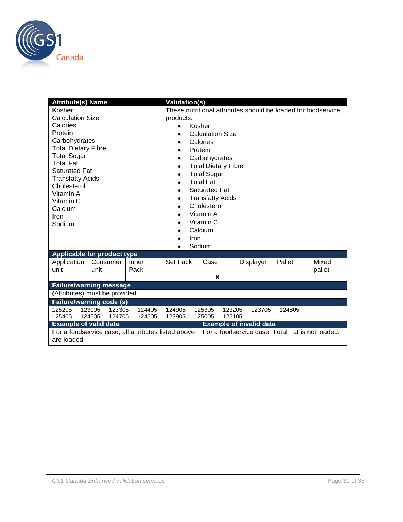

| <b>Attribute(s) Name</b>                                                                                |                                |                  | <b>Validation(s)</b>                                          |                                      |           |        |        |  |  |
|---------------------------------------------------------------------------------------------------------|--------------------------------|------------------|---------------------------------------------------------------|--------------------------------------|-----------|--------|--------|--|--|
| Kosher                                                                                                  |                                |                  | These nutritional attributes should be loaded for foodservice |                                      |           |        |        |  |  |
| <b>Calculation Size</b>                                                                                 |                                |                  | products:                                                     |                                      |           |        |        |  |  |
| Calories                                                                                                |                                |                  | $\bullet$                                                     | Kosher                               |           |        |        |  |  |
| Protein                                                                                                 |                                |                  | <b>Calculation Size</b>                                       |                                      |           |        |        |  |  |
| Carbohydrates                                                                                           |                                |                  | ٠                                                             | Calories                             |           |        |        |  |  |
| <b>Total Dietary Fibre</b>                                                                              |                                |                  | Protein<br>$\bullet$                                          |                                      |           |        |        |  |  |
| <b>Total Sugar</b>                                                                                      |                                |                  | Carbohydrates<br>٠                                            |                                      |           |        |        |  |  |
| <b>Total Fat</b>                                                                                        |                                |                  | ٠                                                             | <b>Total Dietary Fibre</b>           |           |        |        |  |  |
| <b>Saturated Fat</b>                                                                                    |                                |                  | ٠                                                             | <b>Total Sugar</b>                   |           |        |        |  |  |
| <b>Transfatty Acids</b>                                                                                 |                                |                  |                                                               | <b>Total Fat</b>                     |           |        |        |  |  |
| Cholesterol                                                                                             |                                |                  | $\bullet$                                                     | <b>Saturated Fat</b>                 |           |        |        |  |  |
| Vitamin A                                                                                               |                                |                  | ٠                                                             | <b>Transfatty Acids</b>              |           |        |        |  |  |
| Vitamin C                                                                                               |                                |                  | $\bullet$                                                     | Cholesterol                          |           |        |        |  |  |
| Calcium                                                                                                 |                                |                  |                                                               | Vitamin A                            |           |        |        |  |  |
| Iron                                                                                                    |                                |                  |                                                               | Vitamin C                            |           |        |        |  |  |
| Sodium                                                                                                  |                                |                  | Calcium<br>٠                                                  |                                      |           |        |        |  |  |
|                                                                                                         |                                |                  |                                                               | Iron                                 |           |        |        |  |  |
|                                                                                                         |                                |                  |                                                               | Sodium                               |           |        |        |  |  |
|                                                                                                         | Applicable for product type    |                  |                                                               |                                      |           |        |        |  |  |
| Application                                                                                             | Consumer                       | Inner            | Set Pack                                                      | Case                                 | Displayer | Pallet | Mixed  |  |  |
| unit                                                                                                    | unit                           | Pack             |                                                               |                                      |           |        | pallet |  |  |
|                                                                                                         |                                |                  |                                                               | $\boldsymbol{\mathsf{x}}$            |           |        |        |  |  |
|                                                                                                         | <b>Failure/warning message</b> |                  |                                                               |                                      |           |        |        |  |  |
|                                                                                                         |                                |                  |                                                               |                                      |           |        |        |  |  |
| (Attributes) must be provided.<br><b>Failure/warning code (s)</b>                                       |                                |                  |                                                               |                                      |           |        |        |  |  |
|                                                                                                         | 123105<br>123305               |                  |                                                               |                                      |           |        |        |  |  |
| 125205<br>125405                                                                                        | 124505<br>124705               | 124405<br>124605 | 124905<br>123905                                              | 125305<br>123205<br>125005<br>125105 | 123705    | 124805 |        |  |  |
| <b>Example of invalid data</b><br><b>Example of valid data</b>                                          |                                |                  |                                                               |                                      |           |        |        |  |  |
| For a foodservice case, Total Fat is not loaded.<br>For a foodservice case, all attributes listed above |                                |                  |                                                               |                                      |           |        |        |  |  |
| are loaded.                                                                                             |                                |                  |                                                               |                                      |           |        |        |  |  |
|                                                                                                         |                                |                  |                                                               |                                      |           |        |        |  |  |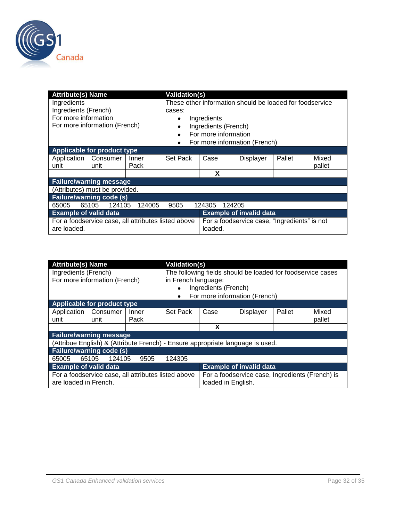

| <b>Attribute(s) Name</b><br><b>Validation(s)</b>                   |                                |                                   |                                                          |                                                         |           |        |        |  |
|--------------------------------------------------------------------|--------------------------------|-----------------------------------|----------------------------------------------------------|---------------------------------------------------------|-----------|--------|--------|--|
| Ingredients                                                        |                                |                                   | These other information should be loaded for foodservice |                                                         |           |        |        |  |
| Ingredients (French)                                               |                                |                                   | cases:                                                   |                                                         |           |        |        |  |
| For more information                                               |                                |                                   | Ingredients<br>٠                                         |                                                         |           |        |        |  |
| For more information (French)                                      |                                | Ingredients (French)<br>٠         |                                                          |                                                         |           |        |        |  |
|                                                                    |                                | For more information<br>$\bullet$ |                                                          |                                                         |           |        |        |  |
|                                                                    |                                |                                   | For more information (French)<br>٠                       |                                                         |           |        |        |  |
| Applicable for product type                                        |                                |                                   |                                                          |                                                         |           |        |        |  |
| Application                                                        | Consumer                       | Inner                             | Set Pack                                                 | Case                                                    | Displayer | Pallet | Mixed  |  |
| unit                                                               | unit                           | Pack                              |                                                          |                                                         |           |        | pallet |  |
|                                                                    |                                |                                   |                                                          | X                                                       |           |        |        |  |
| <b>Failure/warning message</b>                                     |                                |                                   |                                                          |                                                         |           |        |        |  |
|                                                                    | (Attributes) must be provided. |                                   |                                                          |                                                         |           |        |        |  |
| <b>Failure/warning code (s)</b>                                    |                                |                                   |                                                          |                                                         |           |        |        |  |
| 124105<br>65105<br>124005<br>124205<br>65005<br>9505<br>124305     |                                |                                   |                                                          |                                                         |           |        |        |  |
| <b>Example of valid data</b><br><b>Example of invalid data</b>     |                                |                                   |                                                          |                                                         |           |        |        |  |
| For a foodservice case, all attributes listed above<br>are loaded. |                                |                                   |                                                          | For a foodservice case, "Ingredients" is not<br>loaded. |           |        |        |  |

| <b>Attribute(s) Name</b>                                                       |                             | Validation(s)       |                                                                       |                               |                  |        |        |
|--------------------------------------------------------------------------------|-----------------------------|---------------------|-----------------------------------------------------------------------|-------------------------------|------------------|--------|--------|
| Ingredients (French)                                                           |                             |                     | The following fields should be loaded for foodservice cases           |                               |                  |        |        |
| For more information (French)                                                  |                             | in French language: |                                                                       |                               |                  |        |        |
|                                                                                |                             |                     | Ingredients (French)                                                  |                               |                  |        |        |
|                                                                                |                             |                     |                                                                       | For more information (French) |                  |        |        |
|                                                                                | Applicable for product type |                     |                                                                       |                               |                  |        |        |
| Application                                                                    | Consumer                    | Inner               | Set Pack                                                              | Case                          | <b>Displayer</b> | Pallet | Mixed  |
| unit                                                                           | unit                        | Pack                |                                                                       |                               |                  |        | pallet |
|                                                                                |                             |                     |                                                                       | х                             |                  |        |        |
| <b>Failure/warning message</b>                                                 |                             |                     |                                                                       |                               |                  |        |        |
| (Attribue English) & (Attribute French) - Ensure appropriate language is used. |                             |                     |                                                                       |                               |                  |        |        |
| <b>Failure/warning code (s)</b>                                                |                             |                     |                                                                       |                               |                  |        |        |
| 65005                                                                          | 124105<br>65105             | 9505                | 124305                                                                |                               |                  |        |        |
| <b>Example of valid data</b>                                                   |                             |                     | <b>Example of invalid data</b>                                        |                               |                  |        |        |
| For a foodservice case, all attributes listed above<br>are loaded in French.   |                             |                     | For a foodservice case, Ingredients (French) is<br>loaded in English. |                               |                  |        |        |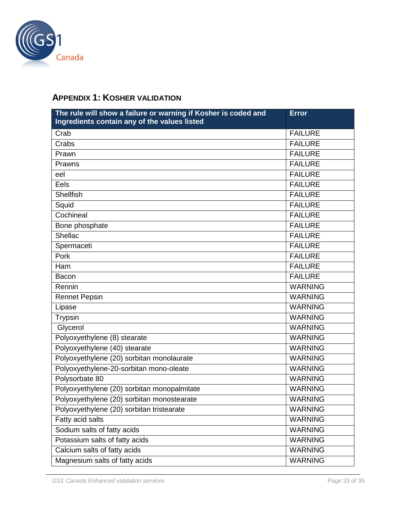

# <span id="page-32-0"></span>**APPENDIX 1: KOSHER VALIDATION**

| The rule will show a failure or warning if Kosher is coded and<br>Ingredients contain any of the values listed | <b>Error</b>   |
|----------------------------------------------------------------------------------------------------------------|----------------|
| Crab                                                                                                           | <b>FAILURE</b> |
| Crabs                                                                                                          | <b>FAILURE</b> |
| Prawn                                                                                                          | <b>FAILURE</b> |
| Prawns                                                                                                         | <b>FAILURE</b> |
| eel                                                                                                            | <b>FAILURE</b> |
| Eels                                                                                                           | <b>FAILURE</b> |
| <b>Shellfish</b>                                                                                               | <b>FAILURE</b> |
| Squid                                                                                                          | <b>FAILURE</b> |
| Cochineal                                                                                                      | <b>FAILURE</b> |
| Bone phosphate                                                                                                 | <b>FAILURE</b> |
| Shellac                                                                                                        | <b>FAILURE</b> |
| Spermaceti                                                                                                     | <b>FAILURE</b> |
| Pork                                                                                                           | <b>FAILURE</b> |
| Ham                                                                                                            | <b>FAILURE</b> |
| Bacon                                                                                                          | <b>FAILURE</b> |
| Rennin                                                                                                         | <b>WARNING</b> |
| <b>Rennet Pepsin</b>                                                                                           | <b>WARNING</b> |
| Lipase                                                                                                         | <b>WARNING</b> |
| Trypsin                                                                                                        | <b>WARNING</b> |
| Glycerol                                                                                                       | <b>WARNING</b> |
| Polyoxyethylene (8) stearate                                                                                   | <b>WARNING</b> |
| Polyoxyethylene (40) stearate                                                                                  | <b>WARNING</b> |
| Polyoxyethylene (20) sorbitan monolaurate                                                                      | <b>WARNING</b> |
| Polyoxyethylene-20-sorbitan mono-oleate                                                                        | <b>WARNING</b> |
| Polysorbate 80                                                                                                 | <b>WARNING</b> |
| Polyoxyethylene (20) sorbitan monopalmitate                                                                    | <b>WARNING</b> |
| Polyoxyethylene (20) sorbitan monostearate                                                                     | <b>WARNING</b> |
| Polyoxyethylene (20) sorbitan tristearate                                                                      | <b>WARNING</b> |
| Fatty acid salts                                                                                               | <b>WARNING</b> |
| Sodium salts of fatty acids                                                                                    | <b>WARNING</b> |
| Potassium salts of fatty acids                                                                                 | <b>WARNING</b> |
| Calcium salts of fatty acids                                                                                   | <b>WARNING</b> |
| Magnesium salts of fatty acids                                                                                 | <b>WARNING</b> |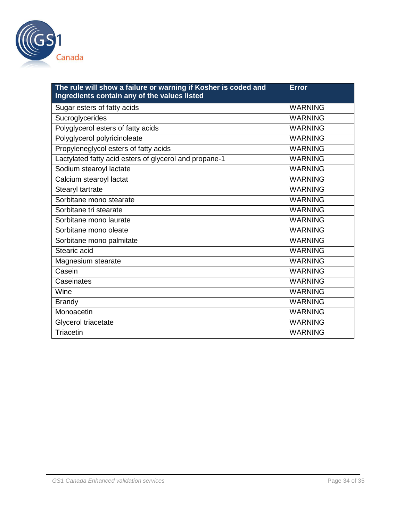

| The rule will show a failure or warning if Kosher is coded and<br>Ingredients contain any of the values listed | <b>Error</b>   |
|----------------------------------------------------------------------------------------------------------------|----------------|
| Sugar esters of fatty acids                                                                                    | <b>WARNING</b> |
| Sucroglycerides                                                                                                | <b>WARNING</b> |
| Polyglycerol esters of fatty acids                                                                             | <b>WARNING</b> |
| Polyglycerol polyricinoleate                                                                                   | <b>WARNING</b> |
| Propyleneglycol esters of fatty acids                                                                          | <b>WARNING</b> |
| Lactylated fatty acid esters of glycerol and propane-1                                                         | <b>WARNING</b> |
| Sodium stearoyl lactate                                                                                        | <b>WARNING</b> |
| Calcium stearoyl lactat                                                                                        | <b>WARNING</b> |
| Stearyl tartrate                                                                                               | <b>WARNING</b> |
| Sorbitane mono stearate                                                                                        | <b>WARNING</b> |
| Sorbitane tri stearate                                                                                         | <b>WARNING</b> |
| Sorbitane mono laurate                                                                                         | <b>WARNING</b> |
| Sorbitane mono oleate                                                                                          | <b>WARNING</b> |
| Sorbitane mono palmitate                                                                                       | <b>WARNING</b> |
| Stearic acid                                                                                                   | <b>WARNING</b> |
| Magnesium stearate                                                                                             | <b>WARNING</b> |
| Casein                                                                                                         | <b>WARNING</b> |
| Caseinates                                                                                                     | <b>WARNING</b> |
| Wine                                                                                                           | <b>WARNING</b> |
| <b>Brandy</b>                                                                                                  | <b>WARNING</b> |
| Monoacetin                                                                                                     | <b>WARNING</b> |
| Glycerol triacetate                                                                                            | <b>WARNING</b> |
| Triacetin                                                                                                      | <b>WARNING</b> |